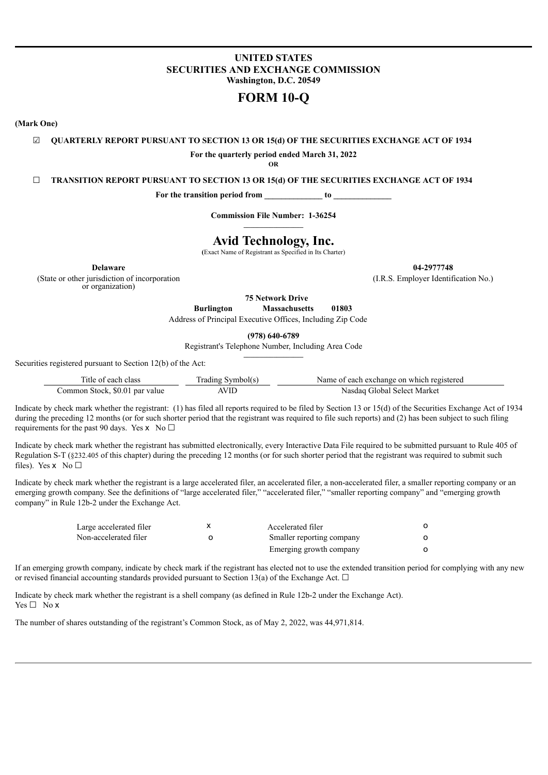## **UNITED STATES SECURITIES AND EXCHANGE COMMISSION Washington, D.C. 20549**

# **FORM 10-Q**

**(Mark One)**

☑ **QUARTERLY REPORT PURSUANT TO SECTION 13 OR 15(d) OF THE SECURITIES EXCHANGE ACT OF 1934**

**For the quarterly period ended March 31, 2022**

**OR**

☐ **TRANSITION REPORT PURSUANT TO SECTION 13 OR 15(d) OF THE SECURITIES EXCHANGE ACT OF 1934**

**For the transition period from \_\_\_\_\_\_\_\_\_\_\_\_\_\_ to \_\_\_\_\_\_\_\_\_\_\_\_\_\_**

**Commission File Number: 1-36254 \_\_\_\_\_\_\_\_\_\_\_\_\_\_\_\_\_\_**

## **Avid Technology, Inc.**

**(**Exact Name of Registrant as Specified in Its Charter)

(State or other jurisdiction of incorporation or organization)

**Delaware 04-2977748**

(I.R.S. Employer Identification No.)

**75 Network Drive**

**Burlington Massachusetts 01803**

Address of Principal Executive Offices, Including Zip Code

**(978) 640-6789**

Registrant's Telephone Number, Including Area Code **\_\_\_\_\_\_\_\_\_\_\_\_\_\_\_\_\_\_**

Securities registered pursuant to Section 12(b) of the Act:

| Title of each class            | Trading Symbol(s) | Name of each exchange on which registered |
|--------------------------------|-------------------|-------------------------------------------|
| Common Stock, \$0.01 par value | AVID              | Nasdag Global Select Market               |

Indicate by check mark whether the registrant: (1) has filed all reports required to be filed by Section 13 or 15(d) of the Securities Exchange Act of 1934 during the preceding 12 months (or for such shorter period that the registrant was required to file such reports) and (2) has been subject to such filing requirements for the past 90 days. Yes  $x \to 0$ 

Indicate by check mark whether the registrant has submitted electronically, every Interactive Data File required to be submitted pursuant to Rule 405 of Regulation S-T (§232.405 of this chapter) during the preceding 12 months (or for such shorter period that the registrant was required to submit such files). Yes  $x \to \infty$ 

Indicate by check mark whether the registrant is a large accelerated filer, an accelerated filer, a non-accelerated filer, a smaller reporting company or an emerging growth company. See the definitions of "large accelerated filer," "accelerated filer," "smaller reporting company" and "emerging growth company" in Rule 12b-2 under the Exchange Act.

| Large accelerated filer | Accelerated filer         |  |
|-------------------------|---------------------------|--|
| Non-accelerated filer   | Smaller reporting company |  |
|                         | Emerging growth company   |  |

If an emerging growth company, indicate by check mark if the registrant has elected not to use the extended transition period for complying with any new or revised financial accounting standards provided pursuant to Section 13(a) of the Exchange Act.  $\Box$ 

Indicate by check mark whether the registrant is a shell company (as defined in Rule 12b-2 under the Exchange Act).  $Yes \Box No x$ 

The number of shares outstanding of the registrant's Common Stock, as of May 2, 2022, was 44,971,814.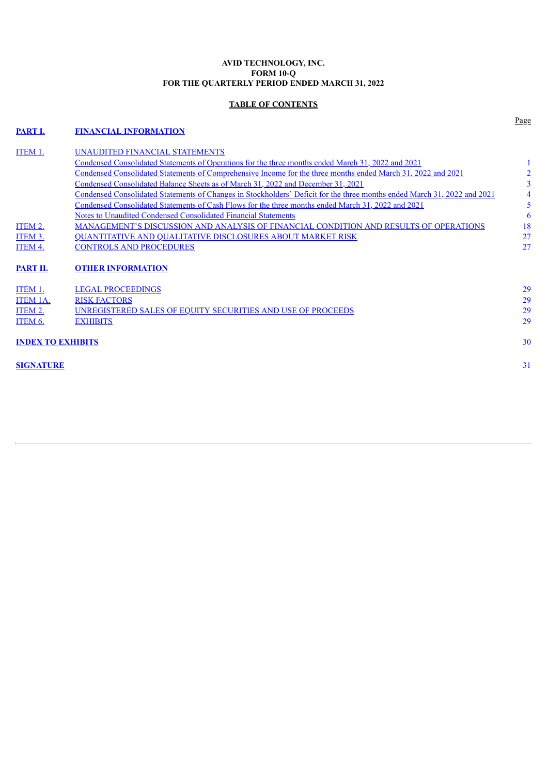### **AVID TECHNOLOGY, INC. FORM 10-Q FOR THE QUARTERLY PERIOD ENDED MARCH 31, 2022**

## **TABLE OF CONTENTS**

## **[PART](#page-3-0) I. FINANCIAL [INFORMATION](#page-3-0)**

| ITEM 1.                  | <b>UNAUDITED FINANCIAL STATEMENTS</b>                                                                                    |    |
|--------------------------|--------------------------------------------------------------------------------------------------------------------------|----|
|                          | <u>Condensed Consolidated Statements of Operations for the three months ended March 31, 2022 and 2021</u>                |    |
|                          | Condensed Consolidated Statements of Comprehensive Income for the three months ended March 31, 2022 and 2021             |    |
|                          | Condensed Consolidated Balance Sheets as of March 31, 2022 and December 31, 2021                                         |    |
|                          | Condensed Consolidated Statements of Changes in Stockholders' Deficit for the three months ended March 31, 2022 and 2021 |    |
|                          | Condensed Consolidated Statements of Cash Flows for the three months ended March 31, 2022 and 2021                       |    |
|                          | Notes to Unaudited Condensed Consolidated Financial Statements                                                           | 6  |
| ITEM 2.                  | MANAGEMENT'S DISCUSSION AND ANALYSIS OF FINANCIAL CONDITION AND RESULTS OF OPERATIONS                                    | 18 |
| ITEM 3.                  | <b>OUANTITATIVE AND OUALITATIVE DISCLOSURES ABOUT MARKET RISK</b>                                                        | 27 |
| ITEM 4.                  | <b>CONTROLS AND PROCEDURES</b>                                                                                           | 27 |
|                          |                                                                                                                          |    |
| PART II.                 | <b>OTHER INFORMATION</b>                                                                                                 |    |
|                          |                                                                                                                          |    |
| ITEM 1.                  | <b>LEGAL PROCEEDINGS</b>                                                                                                 | 29 |
| <b>ITEM 1A.</b>          | <b>RISK FACTORS</b>                                                                                                      | 29 |
| ITEM 2.                  | UNREGISTERED SALES OF EQUITY SECURITIES AND USE OF PROCEEDS                                                              | 29 |
| ITEM 6.                  | <b>EXHIBITS</b>                                                                                                          | 29 |
|                          |                                                                                                                          |    |
| <b>INDEX TO EXHIBITS</b> |                                                                                                                          | 30 |
|                          |                                                                                                                          |    |
| SIGNATURE                |                                                                                                                          | 31 |
|                          |                                                                                                                          |    |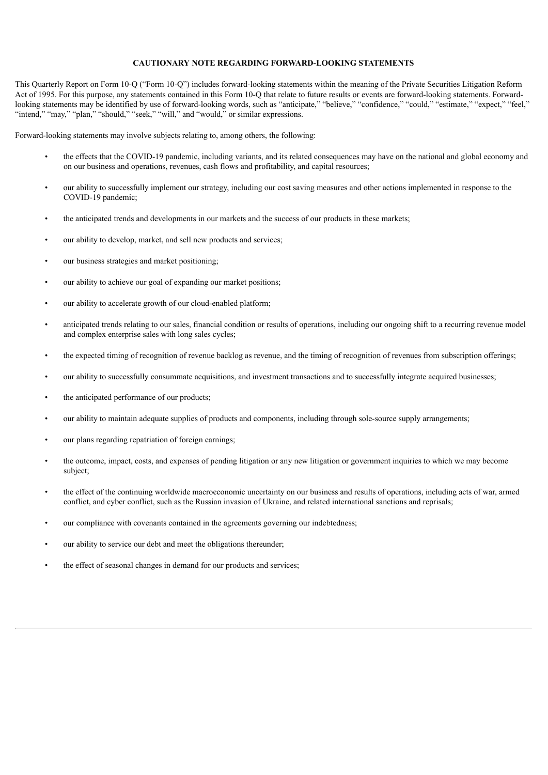### **CAUTIONARY NOTE REGARDING FORWARD-LOOKING STATEMENTS**

This Quarterly Report on Form 10-Q ("Form 10-Q") includes forward-looking statements within the meaning of the Private Securities Litigation Reform Act of 1995. For this purpose, any statements contained in this Form 10-Q that relate to future results or events are forward-looking statements. Forwardlooking statements may be identified by use of forward-looking words, such as "anticipate," "believe," "confidence," "could," "estimate," "expect," "feel," "intend," "may," "plan," "should," "seek," "will," and "would," or similar expressions.

Forward-looking statements may involve subjects relating to, among others, the following:

- the effects that the COVID-19 pandemic, including variants, and its related consequences may have on the national and global economy and on our business and operations, revenues, cash flows and profitability, and capital resources;
- our ability to successfully implement our strategy, including our cost saving measures and other actions implemented in response to the COVID-19 pandemic;
- the anticipated trends and developments in our markets and the success of our products in these markets;
- our ability to develop, market, and sell new products and services;
- our business strategies and market positioning;
- our ability to achieve our goal of expanding our market positions;
- our ability to accelerate growth of our cloud-enabled platform;
- anticipated trends relating to our sales, financial condition or results of operations, including our ongoing shift to a recurring revenue model and complex enterprise sales with long sales cycles;
- the expected timing of recognition of revenue backlog as revenue, and the timing of recognition of revenues from subscription offerings;
- our ability to successfully consummate acquisitions, and investment transactions and to successfully integrate acquired businesses;
- the anticipated performance of our products;
- our ability to maintain adequate supplies of products and components, including through sole-source supply arrangements;
- our plans regarding repatriation of foreign earnings;
- the outcome, impact, costs, and expenses of pending litigation or any new litigation or government inquiries to which we may become subject;
- the effect of the continuing worldwide macroeconomic uncertainty on our business and results of operations, including acts of war, armed conflict, and cyber conflict, such as the Russian invasion of Ukraine, and related international sanctions and reprisals;
- our compliance with covenants contained in the agreements governing our indebtedness;
- our ability to service our debt and meet the obligations thereunder;
- the effect of seasonal changes in demand for our products and services;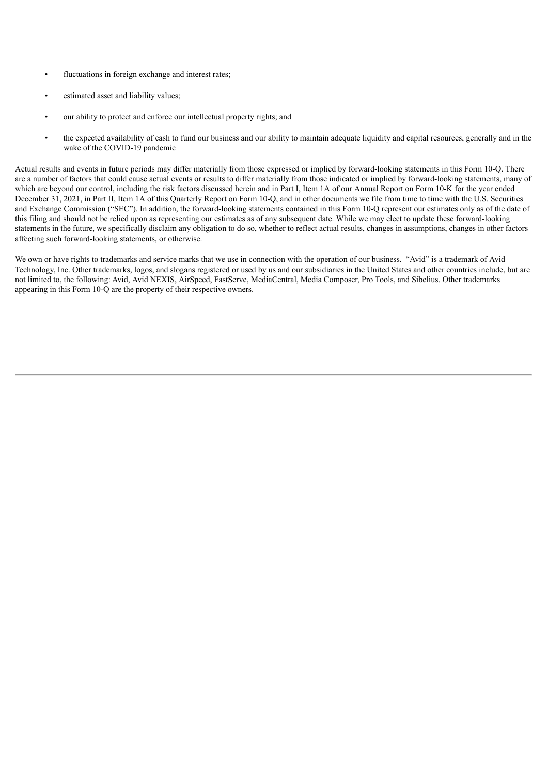- fluctuations in foreign exchange and interest rates;
- estimated asset and liability values;
- our ability to protect and enforce our intellectual property rights; and
- the expected availability of cash to fund our business and our ability to maintain adequate liquidity and capital resources, generally and in the wake of the COVID-19 pandemic

Actual results and events in future periods may differ materially from those expressed or implied by forward-looking statements in this Form 10-Q. There are a number of factors that could cause actual events or results to differ materially from those indicated or implied by forward-looking statements, many of which are beyond our control, including the risk factors discussed herein and in Part I, Item 1A of our Annual Report on Form 10-K for the year ended December 31, 2021, in Part II, Item 1A of this Quarterly Report on Form 10-Q, and in other documents we file from time to time with the U.S. Securities and Exchange Commission ("SEC"). In addition, the forward-looking statements contained in this Form 10-Q represent our estimates only as of the date of this filing and should not be relied upon as representing our estimates as of any subsequent date. While we may elect to update these forward-looking statements in the future, we specifically disclaim any obligation to do so, whether to reflect actual results, changes in assumptions, changes in other factors affecting such forward-looking statements, or otherwise.

<span id="page-3-0"></span>We own or have rights to trademarks and service marks that we use in connection with the operation of our business. "Avid" is a trademark of Avid Technology, Inc. Other trademarks, logos, and slogans registered or used by us and our subsidiaries in the United States and other countries include, but are not limited to, the following: Avid, Avid NEXIS, AirSpeed, FastServe, MediaCentral, Media Composer, Pro Tools, and Sibelius. Other trademarks appearing in this Form 10-Q are the property of their respective owners.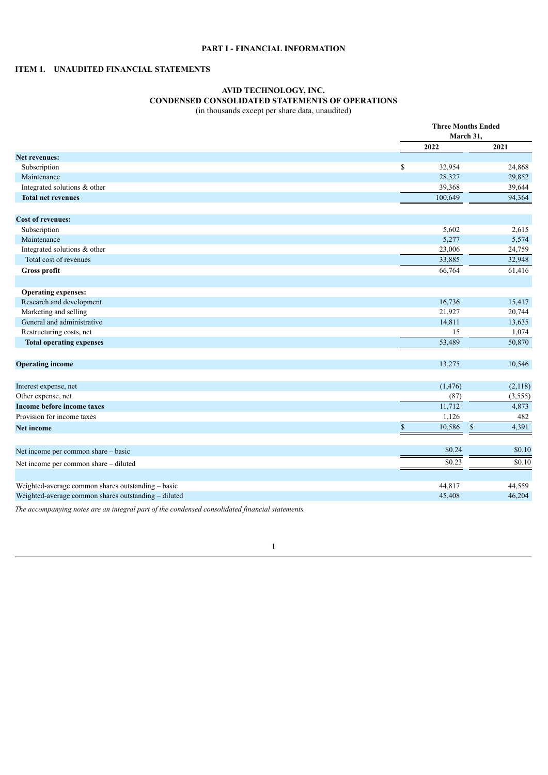## **PART I - FINANCIAL INFORMATION**

## <span id="page-4-1"></span><span id="page-4-0"></span>**ITEM 1. UNAUDITED FINANCIAL STATEMENTS**

## **AVID TECHNOLOGY, INC. CONDENSED CONSOLIDATED STATEMENTS OF OPERATIONS**

(in thousands except per share data, unaudited)

|                                                      | <b>Three Months Ended</b><br>March 31, |                       |
|------------------------------------------------------|----------------------------------------|-----------------------|
|                                                      | 2022                                   | 2021                  |
| Net revenues:                                        |                                        |                       |
| Subscription                                         | \$<br>32,954                           | 24,868                |
| Maintenance                                          | 28,327                                 | 29,852                |
| Integrated solutions & other                         | 39,368                                 | 39,644                |
| <b>Total net revenues</b>                            | 100,649                                | 94,364                |
| <b>Cost of revenues:</b>                             |                                        |                       |
| Subscription                                         | 5,602                                  | 2,615                 |
| Maintenance                                          | 5,277                                  | 5,574                 |
| Integrated solutions & other                         | 23,006                                 | 24,759                |
| Total cost of revenues                               | 33,885                                 | 32,948                |
| Gross profit                                         | 66,764                                 | 61,416                |
| <b>Operating expenses:</b>                           |                                        |                       |
| Research and development                             | 16,736                                 | 15,417                |
| Marketing and selling                                | 21,927                                 | 20,744                |
| General and administrative                           | 14,811                                 | 13,635                |
| Restructuring costs, net                             | 15                                     | 1,074                 |
| <b>Total operating expenses</b>                      | 53,489                                 | 50,870                |
| <b>Operating income</b>                              | 13,275                                 | 10,546                |
| Interest expense, net                                | (1, 476)                               | (2,118)               |
| Other expense, net                                   | (87)                                   | (3,555)               |
| Income before income taxes                           | 11,712                                 | 4,873                 |
| Provision for income taxes                           | 1,126                                  | 482                   |
| Net income                                           | \$<br>10,586                           | $\mathbb{S}$<br>4,391 |
| Net income per common share - basic                  | \$0.24                                 | \$0.10                |
| Net income per common share - diluted                | \$0.23                                 | \$0.10                |
|                                                      |                                        |                       |
| Weighted-average common shares outstanding - basic   | 44,817                                 | 44,559                |
| Weighted-average common shares outstanding - diluted | 45,408                                 | 46,204                |

1

<span id="page-4-2"></span>*The accompanying notes are an integral part of the condensed consolidated financial statements.*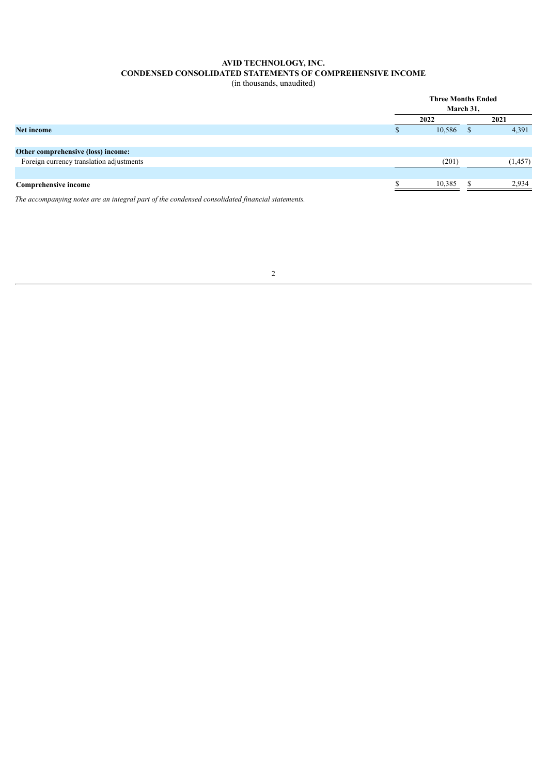#### **AVID TECHNOLOGY, INC. CONDENSED CONSOLIDATED STATEMENTS OF COMPREHENSIVE INCOME**

(in thousands, unaudited)

|                                                                                                | <b>Three Months Ended</b> | March 31, |          |
|------------------------------------------------------------------------------------------------|---------------------------|-----------|----------|
|                                                                                                | 2022                      |           | 2021     |
| <b>Net income</b>                                                                              | 10,586                    |           | 4,391    |
|                                                                                                |                           |           |          |
| Other comprehensive (loss) income:                                                             |                           |           |          |
| Foreign currency translation adjustments                                                       | (201)                     |           | (1, 457) |
|                                                                                                |                           |           |          |
| <b>Comprehensive income</b>                                                                    | 10.385                    | -S        | 2,934    |
| The accompanying notes are an integral part of the condensed consolidated financial statements |                           |           |          |

<span id="page-5-0"></span>*The accompanying notes are an integral part of the condensed consolidated financial statements.*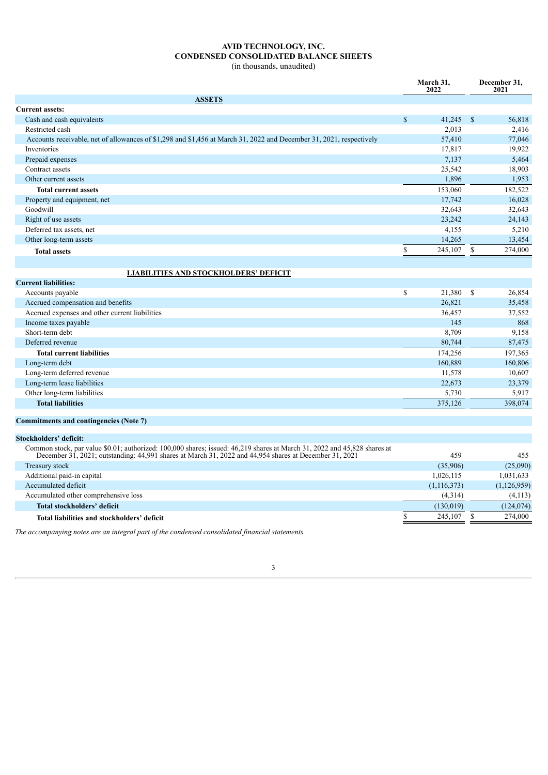# **AVID TECHNOLOGY, INC. CONDENSED CONSOLIDATED BALANCE SHEETS**

(in thousands, unaudited)

|                                                                                                                                                                                                                                    |             | March 31,<br>2022 |               | December 31,<br>2021 |
|------------------------------------------------------------------------------------------------------------------------------------------------------------------------------------------------------------------------------------|-------------|-------------------|---------------|----------------------|
| <b>ASSETS</b>                                                                                                                                                                                                                      |             |                   |               |                      |
| <b>Current assets:</b>                                                                                                                                                                                                             |             |                   |               |                      |
| Cash and cash equivalents                                                                                                                                                                                                          | $\mathbf S$ | 41,245            | $\mathbb{S}$  | 56,818               |
| Restricted cash                                                                                                                                                                                                                    |             | 2,013             |               | 2,416                |
| Accounts receivable, net of allowances of \$1,298 and \$1,456 at March 31, 2022 and December 31, 2021, respectively                                                                                                                |             | 57,410            |               | 77,046               |
| Inventories                                                                                                                                                                                                                        |             | 17,817            |               | 19,922               |
| Prepaid expenses                                                                                                                                                                                                                   |             | 7,137             |               | 5,464                |
| Contract assets                                                                                                                                                                                                                    |             | 25,542            |               | 18,903               |
| Other current assets                                                                                                                                                                                                               |             | 1,896             |               | 1,953                |
| <b>Total current assets</b>                                                                                                                                                                                                        |             | 153,060           |               | 182,522              |
| Property and equipment, net                                                                                                                                                                                                        |             | 17,742            |               | 16,028               |
| Goodwill                                                                                                                                                                                                                           |             | 32,643            |               | 32,643               |
| Right of use assets                                                                                                                                                                                                                |             | 23,242            |               | 24,143               |
| Deferred tax assets, net                                                                                                                                                                                                           |             | 4,155             |               | 5,210                |
| Other long-term assets                                                                                                                                                                                                             |             | 14,265            |               | 13,454               |
| <b>Total assets</b>                                                                                                                                                                                                                | \$          | 245,107 \$        |               | 274,000              |
|                                                                                                                                                                                                                                    |             |                   |               |                      |
| <b>LIABILITIES AND STOCKHOLDERS' DEFICIT</b>                                                                                                                                                                                       |             |                   |               |                      |
| <b>Current liabilities:</b>                                                                                                                                                                                                        |             |                   |               |                      |
| Accounts payable                                                                                                                                                                                                                   | \$          | 21,380            | $\mathcal{S}$ | 26,854               |
| Accrued compensation and benefits                                                                                                                                                                                                  |             | 26.821            |               | 35,458               |
| Accrued expenses and other current liabilities                                                                                                                                                                                     |             | 36,457            |               | 37,552               |
| Income taxes payable                                                                                                                                                                                                               |             | 145               |               | 868                  |
| Short-term debt                                                                                                                                                                                                                    |             | 8,709             |               | 9,158                |
| Deferred revenue                                                                                                                                                                                                                   |             | 80,744            |               | 87,475               |
| <b>Total current liabilities</b>                                                                                                                                                                                                   |             | 174,256           |               | 197,365              |
| Long-term debt                                                                                                                                                                                                                     |             | 160,889           |               | 160,806              |
| Long-term deferred revenue                                                                                                                                                                                                         |             | 11,578            |               | 10,607               |
| Long-term lease liabilities                                                                                                                                                                                                        |             | 22,673            |               | 23,379               |
| Other long-term liabilities                                                                                                                                                                                                        |             | 5,730             |               | 5,917                |
| <b>Total liabilities</b>                                                                                                                                                                                                           |             | 375,126           |               | 398.074              |
|                                                                                                                                                                                                                                    |             |                   |               |                      |
| <b>Commitments and contingencies (Note 7)</b>                                                                                                                                                                                      |             |                   |               |                      |
|                                                                                                                                                                                                                                    |             |                   |               |                      |
| <b>Stockholders' deficit:</b>                                                                                                                                                                                                      |             |                   |               |                      |
| Common stock, par value \$0.01; authorized: 100,000 shares; issued: 46,219 shares at March 31, 2022 and 45,828 shares at<br>December 31, 2021; outstanding: 44,991 shares at March 31, 2022 and 44,954 shares at December 31, 2021 |             | 459               |               | 455                  |
| Treasury stock                                                                                                                                                                                                                     |             | (35,906)          |               | (25,090)             |
| Additional paid-in capital                                                                                                                                                                                                         |             | 1,026,115         |               | 1,031,633            |
| Accumulated deficit                                                                                                                                                                                                                |             | (1, 116, 373)     |               | (1,126,959)          |
| Accumulated other comprehensive loss                                                                                                                                                                                               |             | (4,314)           |               | (4,113)              |
| Total stockholders' deficit                                                                                                                                                                                                        |             | (130, 019)        |               | (124, 074)           |
| Total liabilities and stockholders' deficit                                                                                                                                                                                        | \$          | 245,107           | $\mathbf S$   | 274,000              |

<span id="page-6-0"></span>*The accompanying notes are an integral part of the condensed consolidated financial statements.*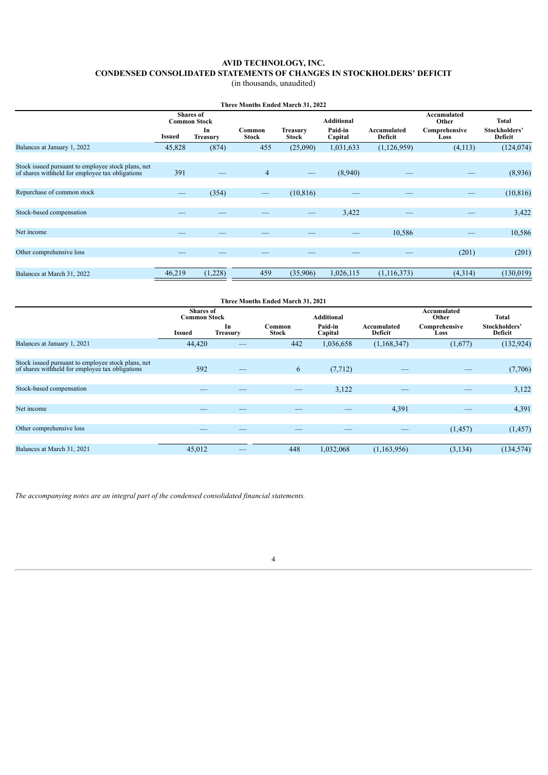## **AVID TECHNOLOGY, INC. CONDENSED CONSOLIDATED STATEMENTS OF CHANGES IN STOCKHOLDERS' DEFICIT**

(in thousands, unaudited)

| Three Months Ended March 31, 2022                                                                     |                                         |                       |                        |                          |                    |                        |                       |                          |  |  |
|-------------------------------------------------------------------------------------------------------|-----------------------------------------|-----------------------|------------------------|--------------------------|--------------------|------------------------|-----------------------|--------------------------|--|--|
|                                                                                                       | <b>Shares</b> of<br><b>Common Stock</b> |                       |                        |                          | <b>Additional</b>  |                        | Accumulated<br>Other  | <b>Total</b>             |  |  |
|                                                                                                       | Issued                                  | In<br><b>Treasury</b> | Common<br><b>Stock</b> | <b>Treasury</b><br>Stock | Paid-in<br>Capital | Accumulated<br>Deficit | Comprehensive<br>Loss | Stockholders'<br>Deficit |  |  |
| Balances at January 1, 2022                                                                           | 45,828                                  | (874)                 | 455                    | (25,090)                 | 1,031,633          | (1,126,959)            | (4,113)               | (124, 074)               |  |  |
|                                                                                                       |                                         |                       |                        |                          |                    |                        |                       |                          |  |  |
| Stock issued pursuant to employee stock plans, net<br>of shares withheld for employee tax obligations | 391                                     |                       | $\overline{4}$         |                          | (8,940)            |                        |                       | (8,936)                  |  |  |
|                                                                                                       |                                         |                       |                        |                          |                    |                        |                       |                          |  |  |
| Repurchase of common stock                                                                            |                                         | (354)                 |                        | (10, 816)                |                    |                        |                       | (10, 816)                |  |  |
|                                                                                                       |                                         |                       |                        |                          |                    |                        |                       |                          |  |  |
| Stock-based compensation                                                                              |                                         |                       |                        |                          | 3,422              |                        |                       | 3,422                    |  |  |
|                                                                                                       |                                         |                       |                        |                          |                    |                        |                       |                          |  |  |
| Net income                                                                                            |                                         |                       |                        |                          |                    | 10,586                 |                       | 10,586                   |  |  |
|                                                                                                       |                                         |                       |                        |                          |                    |                        |                       |                          |  |  |
| Other comprehensive loss                                                                              |                                         |                       |                        |                          |                    |                        | (201)                 | (201)                    |  |  |
|                                                                                                       |                                         |                       |                        |                          |                    |                        |                       |                          |  |  |
| Balances at March 31, 2022                                                                            | 46,219                                  | (1,228)               | 459                    | (35,906)                 | 1,026,115          | (1, 116, 373)          | (4,314)               | (130, 019)               |  |  |

| Three Months Ended March 31, 2021                                                                     |                                         |                       |                        |                    |                        |                       |                          |  |  |
|-------------------------------------------------------------------------------------------------------|-----------------------------------------|-----------------------|------------------------|--------------------|------------------------|-----------------------|--------------------------|--|--|
|                                                                                                       | <b>Shares</b> of<br><b>Common Stock</b> |                       |                        | <b>Additional</b>  |                        | Accumulated<br>Other  | <b>Total</b>             |  |  |
|                                                                                                       | Issued                                  | In<br><b>Treasury</b> | Common<br><b>Stock</b> | Paid-in<br>Capital | Accumulated<br>Deficit | Comprehensive<br>Loss | Stockholders'<br>Deficit |  |  |
| Balances at January 1, 2021                                                                           | 44,420                                  |                       | 442                    | 1,036,658          | (1,168,347)            | (1,677)               | (132, 924)               |  |  |
|                                                                                                       |                                         |                       |                        |                    |                        |                       |                          |  |  |
| Stock issued pursuant to employee stock plans, net<br>of shares withheld for employee tax obligations | 592                                     |                       | 6                      | (7, 712)           |                        |                       | (7,706)                  |  |  |
|                                                                                                       |                                         |                       |                        |                    |                        |                       |                          |  |  |
| Stock-based compensation                                                                              |                                         |                       |                        | 3,122              |                        |                       | 3,122                    |  |  |
|                                                                                                       |                                         |                       |                        |                    |                        |                       |                          |  |  |
| Net income                                                                                            |                                         |                       |                        |                    | 4,391                  |                       | 4,391                    |  |  |
|                                                                                                       |                                         |                       |                        |                    |                        |                       |                          |  |  |
| Other comprehensive loss                                                                              |                                         |                       |                        |                    |                        | (1, 457)              | (1, 457)                 |  |  |
|                                                                                                       |                                         |                       |                        |                    |                        |                       |                          |  |  |
| Balances at March 31, 2021                                                                            | 45,012                                  |                       | 448                    | 1,032,068          | (1,163,956)            | (3, 134)              | (134, 574)               |  |  |

<span id="page-7-0"></span>*The accompanying notes are an integral part of the condensed consolidated financial statements.*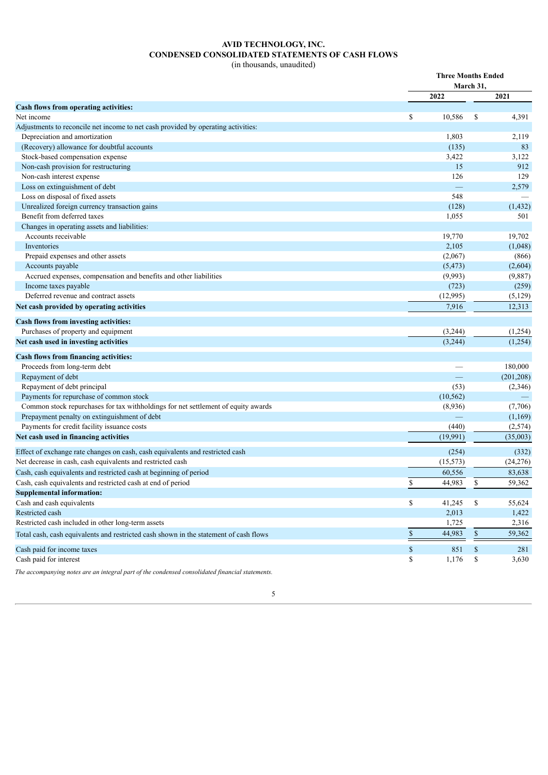## **AVID TECHNOLOGY, INC. CONDENSED CONSOLIDATED STATEMENTS OF CASH FLOWS**

(in thousands, unaudited)

|                                                                                       |             | <b>Three Months Ended</b><br>March 31, |              |            |
|---------------------------------------------------------------------------------------|-------------|----------------------------------------|--------------|------------|
|                                                                                       |             | 2022                                   |              | 2021       |
| Cash flows from operating activities:                                                 |             |                                        |              |            |
| Net income                                                                            | \$          | 10,586                                 | \$           | 4,391      |
| Adjustments to reconcile net income to net cash provided by operating activities:     |             |                                        |              |            |
| Depreciation and amortization                                                         |             | 1,803                                  |              | 2,119      |
| (Recovery) allowance for doubtful accounts                                            |             | (135)                                  |              | 83         |
| Stock-based compensation expense                                                      |             | 3,422                                  |              | 3,122      |
| Non-cash provision for restructuring                                                  |             | 15                                     |              | 912        |
| Non-cash interest expense                                                             |             | 126                                    |              | 129        |
| Loss on extinguishment of debt                                                        |             |                                        |              | 2,579      |
| Loss on disposal of fixed assets                                                      |             | 548                                    |              |            |
| Unrealized foreign currency transaction gains                                         |             | (128)                                  |              | (1, 432)   |
| Benefit from deferred taxes                                                           |             | 1,055                                  |              | 501        |
| Changes in operating assets and liabilities:                                          |             |                                        |              |            |
| Accounts receivable                                                                   |             | 19,770                                 |              | 19,702     |
| Inventories                                                                           |             | 2,105                                  |              | (1,048)    |
| Prepaid expenses and other assets                                                     |             | (2,067)                                |              | (866)      |
| Accounts payable                                                                      |             | (5, 473)                               |              | (2,604)    |
| Accrued expenses, compensation and benefits and other liabilities                     |             | (9,993)                                |              | (9,887)    |
| Income taxes payable                                                                  |             | (723)                                  |              | (259)      |
| Deferred revenue and contract assets                                                  |             | (12,995)                               |              | (5,129)    |
| Net cash provided by operating activities                                             |             | 7,916                                  |              | 12,313     |
|                                                                                       |             |                                        |              |            |
| Cash flows from investing activities:                                                 |             |                                        |              |            |
| Purchases of property and equipment                                                   |             | (3,244)                                |              | (1,254)    |
| Net cash used in investing activities                                                 |             | (3,244)                                |              | (1,254)    |
| Cash flows from financing activities:                                                 |             |                                        |              |            |
| Proceeds from long-term debt                                                          |             |                                        |              | 180,000    |
| Repayment of debt                                                                     |             |                                        |              | (201, 208) |
| Repayment of debt principal                                                           |             | (53)                                   |              | (2, 346)   |
| Payments for repurchase of common stock                                               |             | (10, 562)                              |              |            |
| Common stock repurchases for tax withholdings for net settlement of equity awards     |             | (8,936)                                |              | (7,706)    |
| Prepayment penalty on extinguishment of debt                                          |             |                                        |              | (1,169)    |
| Payments for credit facility issuance costs                                           |             | (440)                                  |              | (2,574)    |
| Net cash used in financing activities                                                 |             | (19,991)                               |              | (35,003)   |
| Effect of exchange rate changes on cash, cash equivalents and restricted cash         |             | (254)                                  |              | (332)      |
| Net decrease in cash, cash equivalents and restricted cash                            |             | (15, 573)                              |              | (24,276)   |
| Cash, cash equivalents and restricted cash at beginning of period                     |             | 60,556                                 |              | 83,638     |
| Cash, cash equivalents and restricted cash at end of period                           | \$          | 44,983                                 | $\mathbb S$  | 59,362     |
| <b>Supplemental information:</b>                                                      |             |                                        |              |            |
| Cash and cash equivalents                                                             | \$          | 41,245                                 | \$           | 55,624     |
| Restricted cash                                                                       |             | 2,013                                  |              | 1,422      |
| Restricted cash included in other long-term assets                                    |             | 1,725                                  |              | 2,316      |
|                                                                                       |             |                                        |              |            |
| Total cash, cash equivalents and restricted cash shown in the statement of cash flows | $\mathbb S$ | 44,983                                 | $\mathbb{S}$ | 59,362     |
| Cash paid for income taxes                                                            | \$          | 851                                    | $\mathbb{S}$ | 281        |
| Cash paid for interest                                                                | \$          | 1,176                                  | \$           | 3,630      |

<span id="page-8-0"></span>*The accompanying notes are an integral part of the condensed consolidated financial statements.*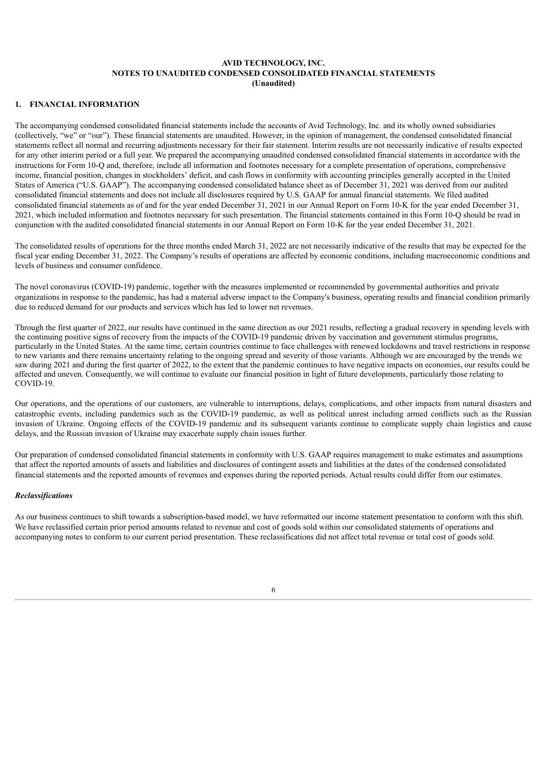#### **AVID TECHNOLOGY, INC. NOTES TO UNAUDITED CONDENSED CONSOLIDATED FINANCIAL STATEMENTS (Unaudited)**

#### **1. FINANCIAL INFORMATION**

The accompanying condensed consolidated financial statements include the accounts of Avid Technology, Inc. and its wholly owned subsidiaries (collectively, "we" or "our"). These financial statements are unaudited. However, in the opinion of management, the condensed consolidated financial statements reflect all normal and recurring adjustments necessary for their fair statement. Interim results are not necessarily indicative of results expected for any other interim period or a full year. We prepared the accompanying unaudited condensed consolidated financial statements in accordance with the instructions for Form 10-Q and, therefore, include all information and footnotes necessary for a complete presentation of operations, comprehensive income, financial position, changes in stockholders' deficit, and cash flows in conformity with accounting principles generally accepted in the United States of America ("U.S. GAAP"). The accompanying condensed consolidated balance sheet as of December 31, 2021 was derived from our audited consolidated financial statements and does not include all disclosures required by U.S. GAAP for annual financial statements. We filed audited consolidated financial statements as of and for the year ended December 31, 2021 in our Annual Report on Form 10-K for the year ended December 31, 2021, which included information and footnotes necessary for such presentation. The financial statements contained in this Form 10-Q should be read in conjunction with the audited consolidated financial statements in our Annual Report on Form 10-K for the year ended December 31, 2021.

The consolidated results of operations for the three months ended March 31, 2022 are not necessarily indicative of the results that may be expected for the fiscal year ending December 31, 2022. The Company's results of operations are affected by economic conditions, including macroeconomic conditions and levels of business and consumer confidence.

The novel coronavirus (COVID-19) pandemic, together with the measures implemented or recommended by governmental authorities and private organizations in response to the pandemic, has had a material adverse impact to the Company's business, operating results and financial condition primarily due to reduced demand for our products and services which has led to lower net revenues.

Through the first quarter of 2022, our results have continued in the same direction as our 2021 results, reflecting a gradual recovery in spending levels with the continuing positive signs of recovery from the impacts of the COVID-19 pandemic driven by vaccination and government stimulus programs, particularly in the United States. At the same time, certain countries continue to face challenges with renewed lockdowns and travel restrictions in response to new variants and there remains uncertainty relating to the ongoing spread and severity of those variants. Although we are encouraged by the trends we saw during 2021 and during the first quarter of 2022, to the extent that the pandemic continues to have negative impacts on economies, our results could be affected and uneven. Consequently, we will continue to evaluate our financial position in light of future developments, particularly those relating to COVID-19.

Our operations, and the operations of our customers, are vulnerable to interruptions, delays, complications, and other impacts from natural disasters and catastrophic events, including pandemics such as the COVID-19 pandemic, as well as political unrest including armed conflicts such as the Russian invasion of Ukraine. Ongoing effects of the COVID-19 pandemic and its subsequent variants continue to complicate supply chain logistics and cause delays, and the Russian invasion of Ukraine may exacerbate supply chain issues further.

Our preparation of condensed consolidated financial statements in conformity with U.S. GAAP requires management to make estimates and assumptions that affect the reported amounts of assets and liabilities and disclosures of contingent assets and liabilities at the dates of the condensed consolidated financial statements and the reported amounts of revenues and expenses during the reported periods. Actual results could differ from our estimates.

#### *Reclassifications*

As our business continues to shift towards a subscription-based model, we have reformatted our income statement presentation to conform with this shift. We have reclassified certain prior period amounts related to revenue and cost of goods sold within our consolidated statements of operations and accompanying notes to conform to our current period presentation. These reclassifications did not affect total revenue or total cost of goods sold.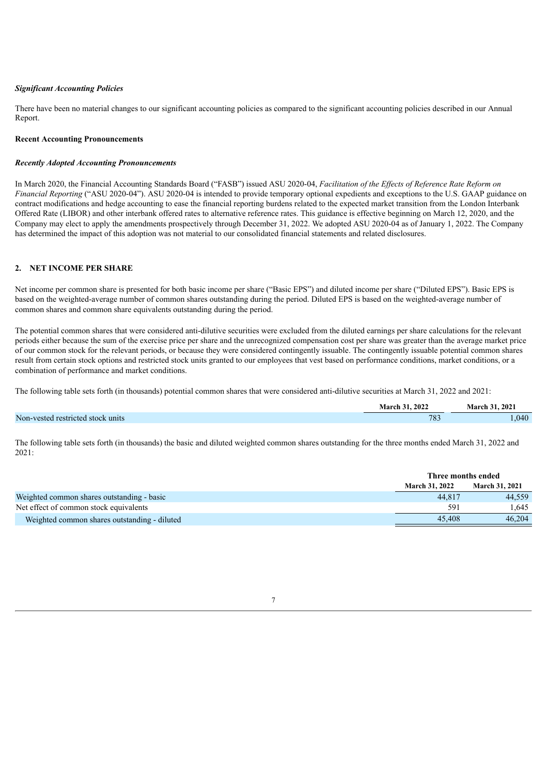#### *Significant Accounting Policies*

There have been no material changes to our significant accounting policies as compared to the significant accounting policies described in our Annual Report.

#### **Recent Accounting Pronouncements**

#### *Recently Adopted Accounting Pronouncements*

In March 2020, the Financial Accounting Standards Board ("FASB") issued ASU 2020-04, *Facilitation of the Ef ects of Reference Rate Reform on Financial Reporting* ("ASU 2020-04"). ASU 2020-04 is intended to provide temporary optional expedients and exceptions to the U.S. GAAP guidance on contract modifications and hedge accounting to ease the financial reporting burdens related to the expected market transition from the London Interbank Offered Rate (LIBOR) and other interbank offered rates to alternative reference rates. This guidance is effective beginning on March 12, 2020, and the Company may elect to apply the amendments prospectively through December 31, 2022. We adopted ASU 2020-04 as of January 1, 2022. The Company has determined the impact of this adoption was not material to our consolidated financial statements and related disclosures.

#### **2. NET INCOME PER SHARE**

Net income per common share is presented for both basic income per share ("Basic EPS") and diluted income per share ("Diluted EPS"). Basic EPS is based on the weighted-average number of common shares outstanding during the period. Diluted EPS is based on the weighted-average number of common shares and common share equivalents outstanding during the period.

The potential common shares that were considered anti-dilutive securities were excluded from the diluted earnings per share calculations for the relevant periods either because the sum of the exercise price per share and the unrecognized compensation cost per share was greater than the average market price of our common stock for the relevant periods, or because they were considered contingently issuable. The contingently issuable potential common shares result from certain stock options and restricted stock units granted to our employees that vest based on performance conditions, market conditions, or a combination of performance and market conditions.

The following table sets forth (in thousands) potential common shares that were considered anti-dilutive securities at March 31, 2022 and 2021:

|                                   | 2022<br>March | 2021<br>March |
|-----------------------------------|---------------|---------------|
| Non-vested restricted stock units | 783           | .040          |

The following table sets forth (in thousands) the basic and diluted weighted common shares outstanding for the three months ended March 31, 2022 and  $2021 -$ 

|                                              | Three months ended    |                       |
|----------------------------------------------|-----------------------|-----------------------|
|                                              | <b>March 31, 2022</b> | <b>March 31, 2021</b> |
| Weighted common shares outstanding - basic   | 44.817                | 44.559                |
| Net effect of common stock equivalents       | 591                   | 1.645                 |
| Weighted common shares outstanding - diluted | 45.408                | 46.204                |

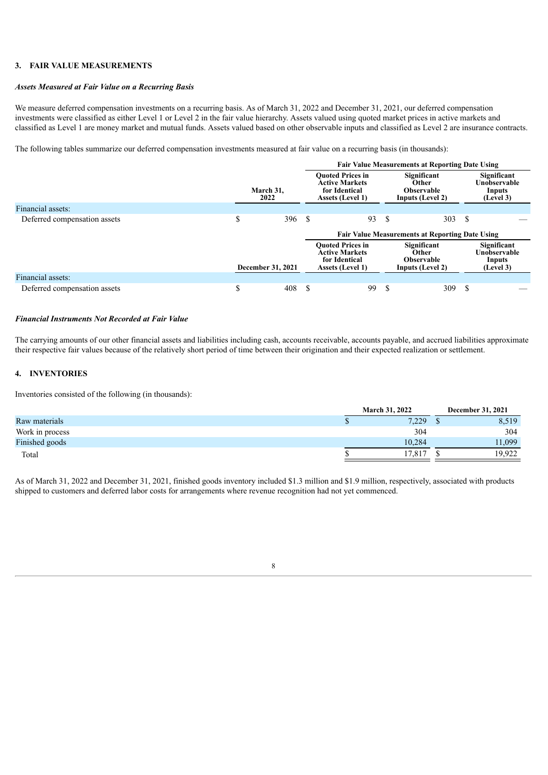## **3. FAIR VALUE MEASUREMENTS**

#### *Assets Measured at Fair Value on a Recurring Basis*

We measure deferred compensation investments on a recurring basis. As of March 31, 2022 and December 31, 2021, our deferred compensation investments were classified as either Level 1 or Level 2 in the fair value hierarchy. Assets valued using quoted market prices in active markets and classified as Level 1 are money market and mutual funds. Assets valued based on other observable inputs and classified as Level 2 are insurance contracts.

The following tables summarize our deferred compensation investments measured at fair value on a recurring basis (in thousands):

|                              | <b>Fair Value Measurements at Reporting Date Using</b> |     |                                                                                                                                                        |                                                                                       |   |                                                                      |                                                    |                                                    |
|------------------------------|--------------------------------------------------------|-----|--------------------------------------------------------------------------------------------------------------------------------------------------------|---------------------------------------------------------------------------------------|---|----------------------------------------------------------------------|----------------------------------------------------|----------------------------------------------------|
|                              | March 31.<br>2022                                      |     |                                                                                                                                                        | <b>Ouoted Prices in</b><br><b>Active Markets</b><br>for Identical<br>Assets (Level 1) |   | <b>Significant</b><br>Other<br><b>Observable</b><br>Inputs (Level 2) |                                                    | Significant<br>Unobservable<br>Inputs<br>(Level 3) |
| Financial assets:            |                                                        |     |                                                                                                                                                        |                                                                                       |   |                                                                      |                                                    |                                                    |
| Deferred compensation assets | \$                                                     | 396 | S                                                                                                                                                      | 93                                                                                    | S | 303                                                                  | S                                                  |                                                    |
|                              |                                                        |     |                                                                                                                                                        |                                                                                       |   | <b>Fair Value Measurements at Reporting Date Using</b>               |                                                    |                                                    |
|                              | December 31, 2021                                      |     | Significant<br><b>Ouoted Prices in</b><br><b>Active Markets</b><br>Other<br>for Identical<br><b>Observable</b><br>Assets (Level 1)<br>Inputs (Level 2) |                                                                                       |   |                                                                      | Significant<br>Unobservable<br>Inputs<br>(Level 3) |                                                    |
| Financial assets:            |                                                        |     |                                                                                                                                                        |                                                                                       |   |                                                                      |                                                    |                                                    |
| Deferred compensation assets | \$                                                     | 408 | S                                                                                                                                                      | 99                                                                                    | S | 309                                                                  | S                                                  |                                                    |

### *Financial Instruments Not Recorded at Fair Value*

The carrying amounts of our other financial assets and liabilities including cash, accounts receivable, accounts payable, and accrued liabilities approximate their respective fair values because of the relatively short period of time between their origination and their expected realization or settlement.

### **4. INVENTORIES**

Inventories consisted of the following (in thousands):

|                 | <b>March 31, 2022</b> |  | December 31, 2021 |
|-----------------|-----------------------|--|-------------------|
| Raw materials   | 7,229                 |  | 8,519             |
| Work in process | 304                   |  | 304               |
| Finished goods  | 10.284                |  | 11,099            |
| Total           | 17.817                |  | 19,922            |

As of March 31, 2022 and December 31, 2021, finished goods inventory included \$1.3 million and \$1.9 million, respectively, associated with products shipped to customers and deferred labor costs for arrangements where revenue recognition had not yet commenced.

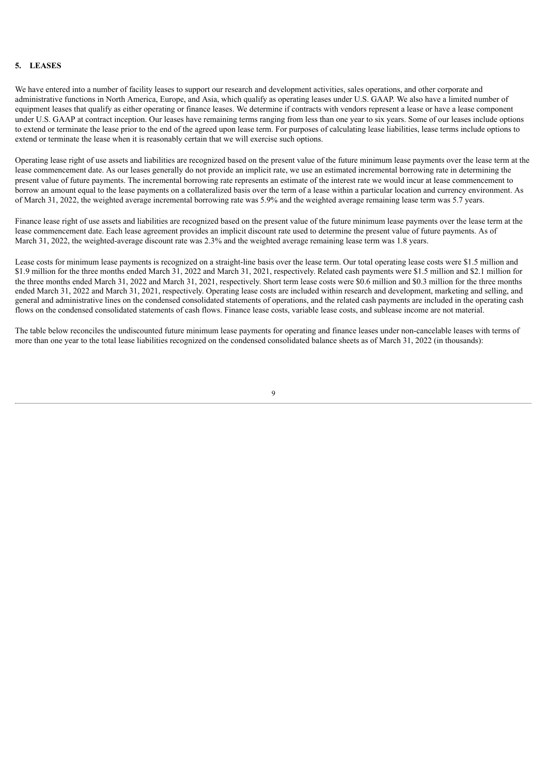## **5. LEASES**

We have entered into a number of facility leases to support our research and development activities, sales operations, and other corporate and administrative functions in North America, Europe, and Asia, which qualify as operating leases under U.S. GAAP. We also have a limited number of equipment leases that qualify as either operating or finance leases. We determine if contracts with vendors represent a lease or have a lease component under U.S. GAAP at contract inception. Our leases have remaining terms ranging from less than one year to six years. Some of our leases include options to extend or terminate the lease prior to the end of the agreed upon lease term. For purposes of calculating lease liabilities, lease terms include options to extend or terminate the lease when it is reasonably certain that we will exercise such options.

Operating lease right of use assets and liabilities are recognized based on the present value of the future minimum lease payments over the lease term at the lease commencement date. As our leases generally do not provide an implicit rate, we use an estimated incremental borrowing rate in determining the present value of future payments. The incremental borrowing rate represents an estimate of the interest rate we would incur at lease commencement to borrow an amount equal to the lease payments on a collateralized basis over the term of a lease within a particular location and currency environment. As of March 31, 2022, the weighted average incremental borrowing rate was 5.9% and the weighted average remaining lease term was 5.7 years.

Finance lease right of use assets and liabilities are recognized based on the present value of the future minimum lease payments over the lease term at the lease commencement date. Each lease agreement provides an implicit discount rate used to determine the present value of future payments. As of March 31, 2022, the weighted-average discount rate was 2.3% and the weighted average remaining lease term was 1.8 years.

Lease costs for minimum lease payments is recognized on a straight-line basis over the lease term. Our total operating lease costs were \$1.5 million and \$1.9 million for the three months ended March 31, 2022 and March 31, 2021, respectively. Related cash payments were \$1.5 million and \$2.1 million for the three months ended March 31, 2022 and March 31, 2021, respectively. Short term lease costs were \$0.6 million and \$0.3 million for the three months ended March 31, 2022 and March 31, 2021, respectively. Operating lease costs are included within research and development, marketing and selling, and general and administrative lines on the condensed consolidated statements of operations, and the related cash payments are included in the operating cash flows on the condensed consolidated statements of cash flows. Finance lease costs, variable lease costs, and sublease income are not material.

The table below reconciles the undiscounted future minimum lease payments for operating and finance leases under non-cancelable leases with terms of more than one year to the total lease liabilities recognized on the condensed consolidated balance sheets as of March 31, 2022 (in thousands):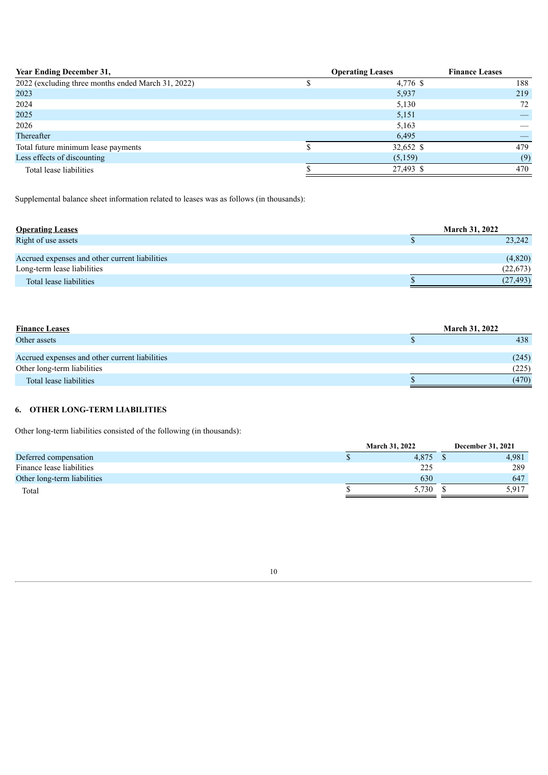| <b>Year Ending December 31,</b>                    | <b>Operating Leases</b> | <b>Finance Leases</b> |
|----------------------------------------------------|-------------------------|-----------------------|
| 2022 (excluding three months ended March 31, 2022) | 4,776 \$                | 188                   |
| 2023                                               | 5,937                   | 219                   |
| 2024                                               | 5,130                   | 72                    |
| 2025                                               | 5,151                   |                       |
| 2026                                               | 5,163                   |                       |
| Thereafter                                         | 6,495                   |                       |
| Total future minimum lease payments                | 32,652 \$               | 479                   |
| Less effects of discounting                        | (5,159)                 | (9)                   |
| Total lease liabilities                            | 27,493 \$               | 470                   |

Supplemental balance sheet information related to leases was as follows (in thousands):

| <b>March 31, 2022</b> |
|-----------------------|
| 23.242                |
|                       |
| (4,820)               |
| (22, 673)             |
| (27, 493)             |
|                       |

| <b>Finance Leases</b>                          | <b>March 31, 2022</b> |       |
|------------------------------------------------|-----------------------|-------|
| Other assets                                   |                       | 438   |
|                                                |                       |       |
| Accrued expenses and other current liabilities |                       | (245) |
| Other long-term liabilities                    |                       | (225) |
| Total lease liabilities                        |                       | (470) |

## **6. OTHER LONG-TERM LIABILITIES**

Other long-term liabilities consisted of the following (in thousands):

|                             | <b>March 31, 2022</b> |       | <b>December 31, 2021</b> |
|-----------------------------|-----------------------|-------|--------------------------|
| Deferred compensation       |                       | 4.875 | 4.981                    |
| Finance lease liabilities   |                       | 225   | 289                      |
| Other long-term liabilities |                       | 630   | 647                      |
| Total                       |                       | 5.730 | 5,917                    |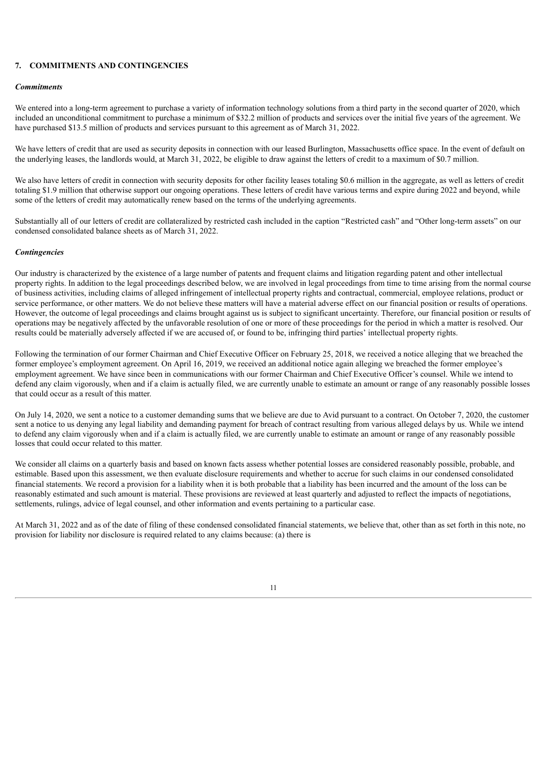## **7. COMMITMENTS AND CONTINGENCIES**

#### *Commitments*

We entered into a long-term agreement to purchase a variety of information technology solutions from a third party in the second quarter of 2020, which included an unconditional commitment to purchase a minimum of \$32.2 million of products and services over the initial five years of the agreement. We have purchased \$13.5 million of products and services pursuant to this agreement as of March 31, 2022.

We have letters of credit that are used as security deposits in connection with our leased Burlington, Massachusetts office space. In the event of default on the underlying leases, the landlords would, at March 31, 2022, be eligible to draw against the letters of credit to a maximum of \$0.7 million.

We also have letters of credit in connection with security deposits for other facility leases totaling \$0.6 million in the aggregate, as well as letters of credit totaling \$1.9 million that otherwise support our ongoing operations. These letters of credit have various terms and expire during 2022 and beyond, while some of the letters of credit may automatically renew based on the terms of the underlying agreements.

Substantially all of our letters of credit are collateralized by restricted cash included in the caption "Restricted cash" and "Other long-term assets" on our condensed consolidated balance sheets as of March 31, 2022.

#### *Contingencies*

Our industry is characterized by the existence of a large number of patents and frequent claims and litigation regarding patent and other intellectual property rights. In addition to the legal proceedings described below, we are involved in legal proceedings from time to time arising from the normal course of business activities, including claims of alleged infringement of intellectual property rights and contractual, commercial, employee relations, product or service performance, or other matters. We do not believe these matters will have a material adverse effect on our financial position or results of operations. However, the outcome of legal proceedings and claims brought against us is subject to significant uncertainty. Therefore, our financial position or results of operations may be negatively affected by the unfavorable resolution of one or more of these proceedings for the period in which a matter is resolved. Our results could be materially adversely affected if we are accused of, or found to be, infringing third parties' intellectual property rights.

Following the termination of our former Chairman and Chief Executive Officer on February 25, 2018, we received a notice alleging that we breached the former employee's employment agreement. On April 16, 2019, we received an additional notice again alleging we breached the former employee's employment agreement. We have since been in communications with our former Chairman and Chief Executive Officer's counsel. While we intend to defend any claim vigorously, when and if a claim is actually filed, we are currently unable to estimate an amount or range of any reasonably possible losses that could occur as a result of this matter.

On July 14, 2020, we sent a notice to a customer demanding sums that we believe are due to Avid pursuant to a contract. On October 7, 2020, the customer sent a notice to us denying any legal liability and demanding payment for breach of contract resulting from various alleged delays by us. While we intend to defend any claim vigorously when and if a claim is actually filed, we are currently unable to estimate an amount or range of any reasonably possible losses that could occur related to this matter.

We consider all claims on a quarterly basis and based on known facts assess whether potential losses are considered reasonably possible, probable, and estimable. Based upon this assessment, we then evaluate disclosure requirements and whether to accrue for such claims in our condensed consolidated financial statements. We record a provision for a liability when it is both probable that a liability has been incurred and the amount of the loss can be reasonably estimated and such amount is material. These provisions are reviewed at least quarterly and adjusted to reflect the impacts of negotiations, settlements, rulings, advice of legal counsel, and other information and events pertaining to a particular case.

At March 31, 2022 and as of the date of filing of these condensed consolidated financial statements, we believe that, other than as set forth in this note, no provision for liability nor disclosure is required related to any claims because: (a) there is

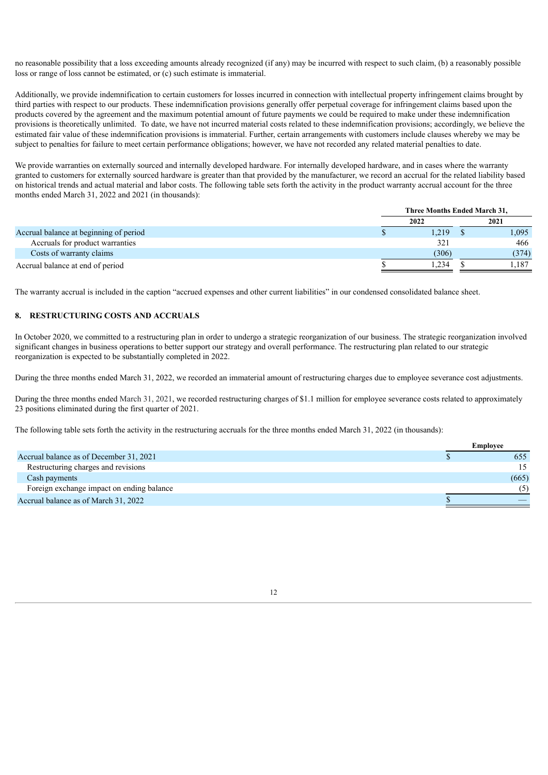no reasonable possibility that a loss exceeding amounts already recognized (if any) may be incurred with respect to such claim, (b) a reasonably possible loss or range of loss cannot be estimated, or (c) such estimate is immaterial.

Additionally, we provide indemnification to certain customers for losses incurred in connection with intellectual property infringement claims brought by third parties with respect to our products. These indemnification provisions generally offer perpetual coverage for infringement claims based upon the products covered by the agreement and the maximum potential amount of future payments we could be required to make under these indemnification provisions is theoretically unlimited. To date, we have not incurred material costs related to these indemnification provisions; accordingly, we believe the estimated fair value of these indemnification provisions is immaterial. Further, certain arrangements with customers include clauses whereby we may be subject to penalties for failure to meet certain performance obligations; however, we have not recorded any related material penalties to date.

We provide warranties on externally sourced and internally developed hardware. For internally developed hardware, and in cases where the warranty granted to customers for externally sourced hardware is greater than that provided by the manufacturer, we record an accrual for the related liability based on historical trends and actual material and labor costs. The following table sets forth the activity in the product warranty accrual account for the three months ended March 31, 2022 and 2021 (in thousands):

|                                        | Three Months Ended March 31, |  |       |  |
|----------------------------------------|------------------------------|--|-------|--|
|                                        | 2022                         |  | 2021  |  |
| Accrual balance at beginning of period | .219                         |  | 1,095 |  |
| Accruals for product warranties        | 321                          |  | 466   |  |
| Costs of warranty claims               | (306)                        |  | (374) |  |
| Accrual balance at end of period       | .234                         |  | 1.187 |  |

The warranty accrual is included in the caption "accrued expenses and other current liabilities" in our condensed consolidated balance sheet.

#### **8. RESTRUCTURING COSTS AND ACCRUALS**

In October 2020, we committed to a restructuring plan in order to undergo a strategic reorganization of our business. The strategic reorganization involved significant changes in business operations to better support our strategy and overall performance. The restructuring plan related to our strategic reorganization is expected to be substantially completed in 2022.

During the three months ended March 31, 2022, we recorded an immaterial amount of restructuring charges due to employee severance cost adjustments.

During the three months ended March 31, 2021, we recorded restructuring charges of \$1.1 million for employee severance costs related to approximately 23 positions eliminated during the first quarter of 2021.

The following table sets forth the activity in the restructuring accruals for the three months ended March 31, 2022 (in thousands):

|                                           | <b>Employee</b> |
|-------------------------------------------|-----------------|
| Accrual balance as of December 31, 2021   | 655             |
| Restructuring charges and revisions       |                 |
| Cash payments                             | (665)           |
| Foreign exchange impact on ending balance | (5)             |
| Accrual balance as of March 31, 2022      |                 |

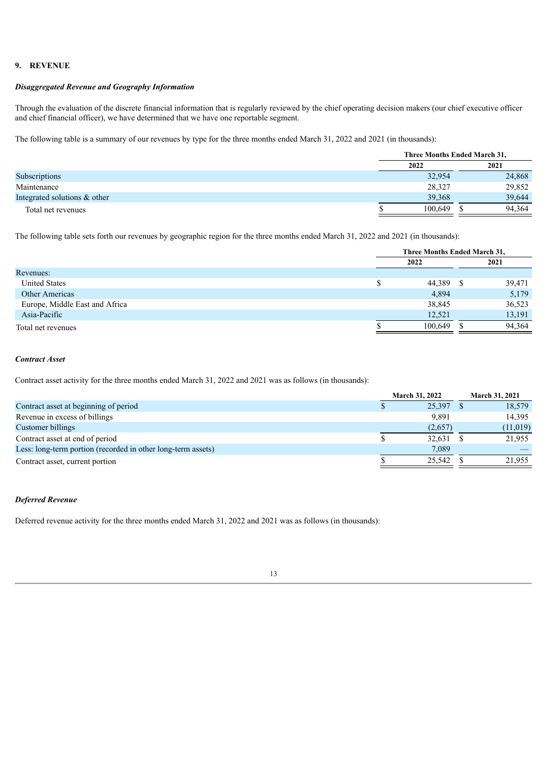## **9. REVENUE**

#### *Disaggregated Revenue and Geography Information*

Through the evaluation of the discrete financial information that is regularly reviewed by the chief operating decision makers (our chief executive officer and chief financial officer), we have determined that we have one reportable segment.

The following table is a summary of our revenues by type for the three months ended March 31, 2022 and 2021 (in thousands):

|                              | Three Months Ended March 31, |        |  |
|------------------------------|------------------------------|--------|--|
|                              | 2022                         | 2021   |  |
| <b>Subscriptions</b>         | 32,954                       | 24,868 |  |
| Maintenance                  | 28,327                       | 29,852 |  |
| Integrated solutions & other | 39,368                       | 39,644 |  |
| Total net revenues           | 100.649                      | 94.364 |  |

The following table sets forth our revenues by geographic region for the three months ended March 31, 2022 and 2021 (in thousands):

|                                |      | Three Months Ended March 31, |        |  |  |
|--------------------------------|------|------------------------------|--------|--|--|
|                                | 2022 |                              | 2021   |  |  |
| Revenues:                      |      |                              |        |  |  |
| <b>United States</b>           |      | 44,389                       | 39,471 |  |  |
| Other Americas                 |      | 4,894                        | 5,179  |  |  |
| Europe, Middle East and Africa |      | 38,845                       | 36,523 |  |  |
| Asia-Pacific                   |      | 12,521                       | 13,191 |  |  |
| Total net revenues             |      | 100.649                      | 94,364 |  |  |
|                                |      |                              |        |  |  |

### *Contract Asset*

Contract asset activity for the three months ended March 31, 2022 and 2021 was as follows (in thousands):

|                                                              | <b>March 31, 2022</b> | <b>March 31, 2021</b> |
|--------------------------------------------------------------|-----------------------|-----------------------|
| Contract asset at beginning of period                        | 25,397                | 18,579                |
| Revenue in excess of billings                                | 9,891                 | 14.395                |
| Customer billings                                            | (2,657)               | (11, 019)             |
| Contract asset at end of period                              | 32,631                | 21,955                |
| Less: long-term portion (recorded in other long-term assets) | 7.089                 |                       |
| Contract asset, current portion                              | 25.542                | 21.955                |

## *Deferred Revenue*

Deferred revenue activity for the three months ended March 31, 2022 and 2021 was as follows (in thousands):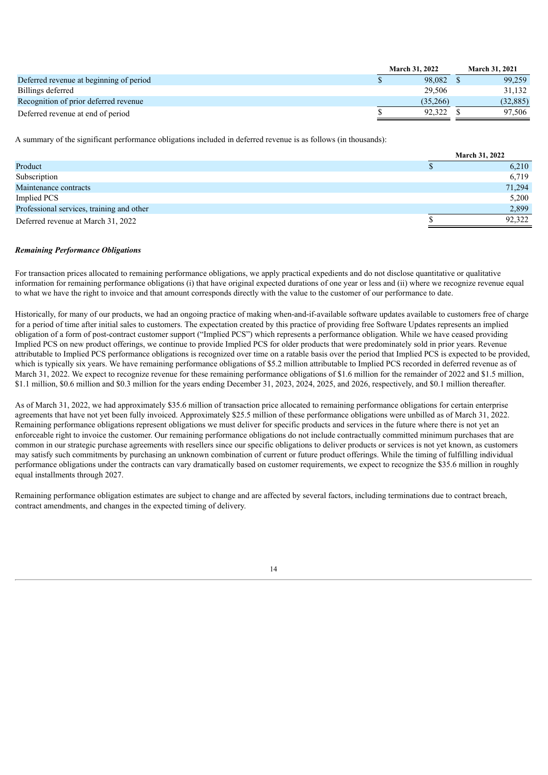| <b>March 31, 2022</b>                   |          | <b>March 31, 2021</b> |  |
|-----------------------------------------|----------|-----------------------|--|
| Deferred revenue at beginning of period | 98.082   | 99.259                |  |
| Billings deferred                       | 29.506   | 31.132                |  |
| Recognition of prior deferred revenue   | (35.266) | (32, 885)             |  |
| Deferred revenue at end of period       | 92.322   | 97.506                |  |

A summary of the significant performance obligations included in deferred revenue is as follows (in thousands):

|                                           | <b>March 31, 2022</b> |        |
|-------------------------------------------|-----------------------|--------|
| Product                                   |                       | 6,210  |
| Subscription                              |                       | 6,719  |
| Maintenance contracts                     |                       | 71,294 |
| Implied PCS                               |                       | 5,200  |
| Professional services, training and other |                       | 2,899  |
| Deferred revenue at March 31, 2022        |                       | 92.322 |

#### *Remaining Performance Obligations*

For transaction prices allocated to remaining performance obligations, we apply practical expedients and do not disclose quantitative or qualitative information for remaining performance obligations (i) that have original expected durations of one year or less and (ii) where we recognize revenue equal to what we have the right to invoice and that amount corresponds directly with the value to the customer of our performance to date.

Historically, for many of our products, we had an ongoing practice of making when-and-if-available software updates available to customers free of charge for a period of time after initial sales to customers. The expectation created by this practice of providing free Software Updates represents an implied obligation of a form of post-contract customer support ("Implied PCS") which represents a performance obligation. While we have ceased providing Implied PCS on new product offerings, we continue to provide Implied PCS for older products that were predominately sold in prior years. Revenue attributable to Implied PCS performance obligations is recognized over time on a ratable basis over the period that Implied PCS is expected to be provided, which is typically six years. We have remaining performance obligations of \$5.2 million attributable to Implied PCS recorded in deferred revenue as of March 31, 2022. We expect to recognize revenue for these remaining performance obligations of \$1.6 million for the remainder of 2022 and \$1.5 million, \$1.1 million, \$0.6 million and \$0.3 million for the years ending December 31, 2023, 2024, 2025, and 2026, respectively, and \$0.1 million thereafter.

As of March 31, 2022, we had approximately \$35.6 million of transaction price allocated to remaining performance obligations for certain enterprise agreements that have not yet been fully invoiced. Approximately \$25.5 million of these performance obligations were unbilled as of March 31, 2022. Remaining performance obligations represent obligations we must deliver for specific products and services in the future where there is not yet an enforceable right to invoice the customer. Our remaining performance obligations do not include contractually committed minimum purchases that are common in our strategic purchase agreements with resellers since our specific obligations to deliver products or services is not yet known, as customers may satisfy such commitments by purchasing an unknown combination of current or future product offerings. While the timing of fulfilling individual performance obligations under the contracts can vary dramatically based on customer requirements, we expect to recognize the \$35.6 million in roughly equal installments through 2027.

Remaining performance obligation estimates are subject to change and are affected by several factors, including terminations due to contract breach, contract amendments, and changes in the expected timing of delivery.

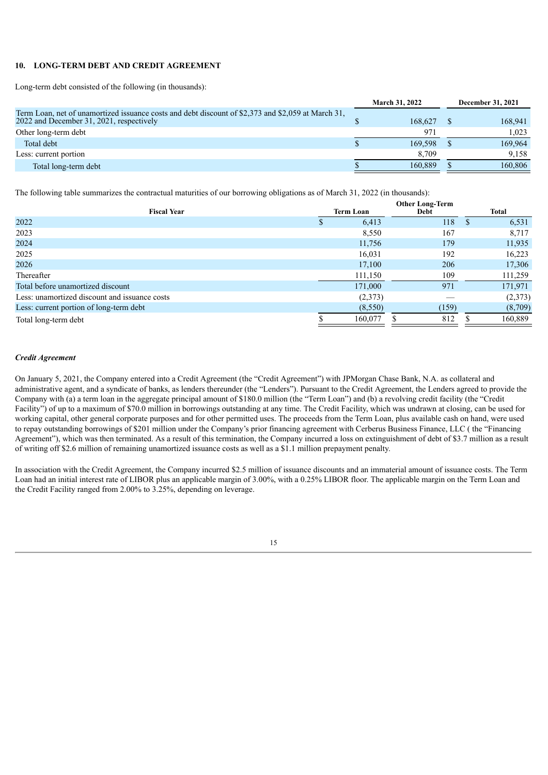## **10. LONG-TERM DEBT AND CREDIT AGREEMENT**

Long-term debt consisted of the following (in thousands):

|                                                                                                                                                | <b>March 31, 2022</b> |  | <b>December 31, 2021</b> |
|------------------------------------------------------------------------------------------------------------------------------------------------|-----------------------|--|--------------------------|
| Term Loan, net of unamortized issuance costs and debt discount of \$2,373 and \$2,059 at March 31,<br>2022 and December 31, 2021, respectively | 168,627               |  | 168.941                  |
| Other long-term debt                                                                                                                           | 971                   |  | 1.023                    |
| Total debt                                                                                                                                     | 169.598               |  | 169,964                  |
| Less: current portion                                                                                                                          | 8.709                 |  | 9.158                    |
| Total long-term debt                                                                                                                           | 160.889               |  | 160,806                  |

The following table summarizes the contractual maturities of our borrowing obligations as of March 31, 2022 (in thousands):

| <b>Fiscal Year</b>                            | <b>Term Loan</b> | <b>Other Long-Term</b><br>Debt |   | <b>Total</b> |
|-----------------------------------------------|------------------|--------------------------------|---|--------------|
| 2022                                          | 6,413            | 118                            | S | 6,531        |
| 2023                                          | 8,550            | 167                            |   | 8,717        |
| 2024                                          | 11,756           | 179                            |   | 11,935       |
| 2025                                          | 16,031           | 192                            |   | 16,223       |
| 2026                                          | 17,100           | 206                            |   | 17,306       |
| Thereafter                                    | 111,150          | 109                            |   | 111,259      |
| Total before unamortized discount             | 171,000          | 971                            |   | 171,971      |
| Less: unamortized discount and issuance costs | (2,373)          |                                |   | (2,373)      |
| Less: current portion of long-term debt       | (8,550)          | (159)                          |   | (8,709)      |
| Total long-term debt                          | 160,077          | 812                            |   | 160,889      |
|                                               |                  |                                |   |              |

#### *Credit Agreement*

On January 5, 2021, the Company entered into a Credit Agreement (the "Credit Agreement") with JPMorgan Chase Bank, N.A. as collateral and administrative agent, and a syndicate of banks, as lenders thereunder (the "Lenders"). Pursuant to the Credit Agreement, the Lenders agreed to provide the Company with (a) a term loan in the aggregate principal amount of \$180.0 million (the "Term Loan") and (b) a revolving credit facility (the "Credit Facility") of up to a maximum of \$70.0 million in borrowings outstanding at any time. The Credit Facility, which was undrawn at closing, can be used for working capital, other general corporate purposes and for other permitted uses. The proceeds from the Term Loan, plus available cash on hand, were used to repay outstanding borrowings of \$201 million under the Company's prior financing agreement with Cerberus Business Finance, LLC ( the "Financing Agreement"), which was then terminated. As a result of this termination, the Company incurred a loss on extinguishment of debt of \$3.7 million as a result of writing off \$2.6 million of remaining unamortized issuance costs as well as a \$1.1 million prepayment penalty.

In association with the Credit Agreement, the Company incurred \$2.5 million of issuance discounts and an immaterial amount of issuance costs. The Term Loan had an initial interest rate of LIBOR plus an applicable margin of 3.00%, with a 0.25% LIBOR floor. The applicable margin on the Term Loan and the Credit Facility ranged from 2.00% to 3.25%, depending on leverage.

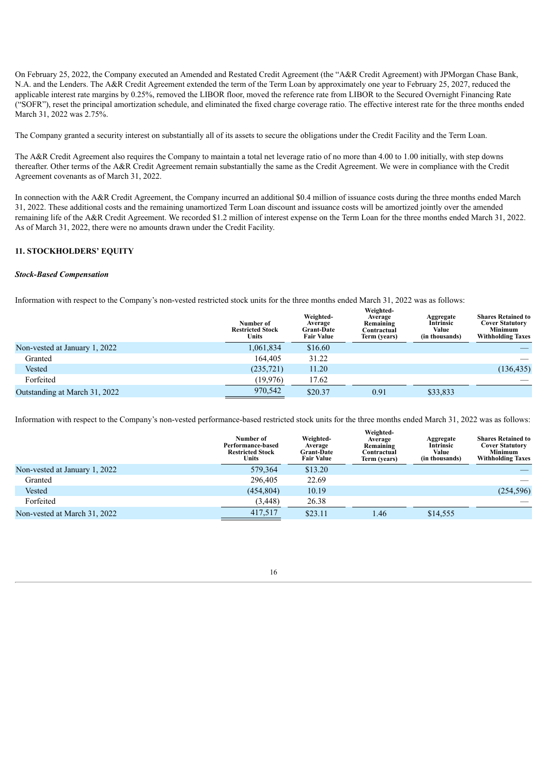On February 25, 2022, the Company executed an Amended and Restated Credit Agreement (the "A&R Credit Agreement) with JPMorgan Chase Bank, N.A. and the Lenders. The A&R Credit Agreement extended the term of the Term Loan by approximately one year to February 25, 2027, reduced the applicable interest rate margins by 0.25%, removed the LIBOR floor, moved the reference rate from LIBOR to the Secured Overnight Financing Rate ("SOFR"), reset the principal amortization schedule, and eliminated the fixed charge coverage ratio. The effective interest rate for the three months ended March 31, 2022 was 2.75%.

The Company granted a security interest on substantially all of its assets to secure the obligations under the Credit Facility and the Term Loan.

The A&R Credit Agreement also requires the Company to maintain a total net leverage ratio of no more than 4.00 to 1.00 initially, with step downs thereafter. Other terms of the A&R Credit Agreement remain substantially the same as the Credit Agreement. We were in compliance with the Credit Agreement covenants as of March 31, 2022.

In connection with the A&R Credit Agreement, the Company incurred an additional \$0.4 million of issuance costs during the three months ended March 31, 2022. These additional costs and the remaining unamortized Term Loan discount and issuance costs will be amortized jointly over the amended remaining life of the A&R Credit Agreement. We recorded \$1.2 million of interest expense on the Term Loan for the three months ended March 31, 2022. As of March 31, 2022, there were no amounts drawn under the Credit Facility.

## **11. STOCKHOLDERS' EQUITY**

#### *Stock-Based Compensation*

Information with respect to the Company's non-vested restricted stock units for the three months ended March 31, 2022 was as follows:

|                               | Number of<br><b>Restricted Stock</b><br>Units | Weighted-<br>Average<br><b>Grant-Date</b><br><b>Fair Value</b> | Weighted-<br>Average<br>Remaining<br>Contractual<br>Term (vears) | Aggregate<br>Intrinsic<br>Value<br>(in thousands) | <b>Shares Retained to</b><br><b>Cover Statutory</b><br>Minimum<br><b>Withholding Taxes</b> |
|-------------------------------|-----------------------------------------------|----------------------------------------------------------------|------------------------------------------------------------------|---------------------------------------------------|--------------------------------------------------------------------------------------------|
| Non-vested at January 1, 2022 | 1,061,834                                     | \$16.60                                                        |                                                                  |                                                   |                                                                                            |
| Granted                       | 164.405                                       | 31.22                                                          |                                                                  |                                                   |                                                                                            |
| Vested                        | (235, 721)                                    | 11.20                                                          |                                                                  |                                                   | (136, 435)                                                                                 |
| Forfeited                     | (19, 976)                                     | 17.62                                                          |                                                                  |                                                   |                                                                                            |
| Outstanding at March 31, 2022 | 970,542                                       | \$20.37                                                        | 0.91                                                             | \$33,833                                          |                                                                                            |

Information with respect to the Company's non-vested performance-based restricted stock units for the three months ended March 31, 2022 was as follows:

|                               | Number of<br>Performance-based<br><b>Restricted Stock</b><br>Units | Weighted-<br>Average<br><b>Grant-Date</b><br><b>Fair Value</b> | Weighted-<br>Average<br>Remaining<br>Contractual<br>Term (vears) | Aggregate<br><b>Intrinsic</b><br>Value<br>(in thousands) | <b>Shares Retained to</b><br><b>Cover Statutory</b><br>Minimum<br><b>Withholding Taxes</b> |
|-------------------------------|--------------------------------------------------------------------|----------------------------------------------------------------|------------------------------------------------------------------|----------------------------------------------------------|--------------------------------------------------------------------------------------------|
| Non-vested at January 1, 2022 | 579.364                                                            | \$13.20                                                        |                                                                  |                                                          |                                                                                            |
| Granted                       | 296,405                                                            | 22.69                                                          |                                                                  |                                                          |                                                                                            |
| Vested                        | (454, 804)                                                         | 10.19                                                          |                                                                  |                                                          | (254, 596)                                                                                 |
| Forfeited                     | (3,448)                                                            | 26.38                                                          |                                                                  |                                                          |                                                                                            |
| Non-vested at March 31, 2022  | 417,517                                                            | \$23.11                                                        | l.46                                                             | \$14,555                                                 |                                                                                            |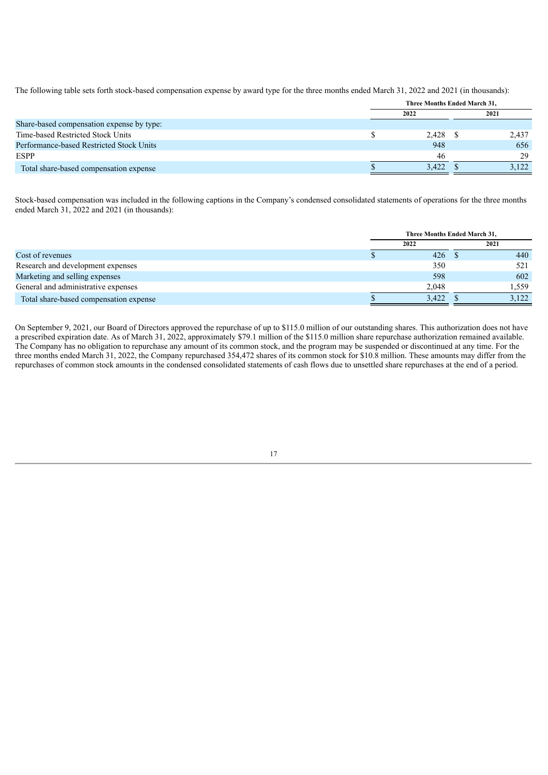The following table sets forth stock-based compensation expense by award type for the three months ended March 31, 2022 and 2021 (in thousands):

|                                           | Three Months Ended March 31, |            |  |       |
|-------------------------------------------|------------------------------|------------|--|-------|
|                                           | 2022                         |            |  | 2021  |
| Share-based compensation expense by type: |                              |            |  |       |
| Time-based Restricted Stock Units         |                              | $2,428$ \$ |  | 2,437 |
| Performance-based Restricted Stock Units  |                              | 948        |  | 656   |
| <b>ESPP</b>                               |                              | 46         |  | 29    |
| Total share-based compensation expense    |                              | 3.422      |  | 3.122 |

Stock-based compensation was included in the following captions in the Company's condensed consolidated statements of operations for the three months ended March 31, 2022 and 2021 (in thousands):

|                                        | Three Months Ended March 31, |  |       |  |
|----------------------------------------|------------------------------|--|-------|--|
|                                        | 2022                         |  | 2021  |  |
| Cost of revenues                       | 426                          |  | 440   |  |
| Research and development expenses      | 350                          |  | 521   |  |
| Marketing and selling expenses         | 598                          |  | 602   |  |
| General and administrative expenses    | 2,048                        |  | 1.559 |  |
| Total share-based compensation expense | 3,422                        |  | 3.122 |  |

<span id="page-20-0"></span>On September 9, 2021, our Board of Directors approved the repurchase of up to \$115.0 million of our outstanding shares. This authorization does not have a prescribed expiration date. As of March 31, 2022, approximately \$79.1 million of the \$115.0 million share repurchase authorization remained available. The Company has no obligation to repurchase any amount of its common stock, and the program may be suspended or discontinued at any time. For the three months ended March 31, 2022, the Company repurchased 354,472 shares of its common stock for \$10.8 million. These amounts may differ from the repurchases of common stock amounts in the condensed consolidated statements of cash flows due to unsettled share repurchases at the end of a period.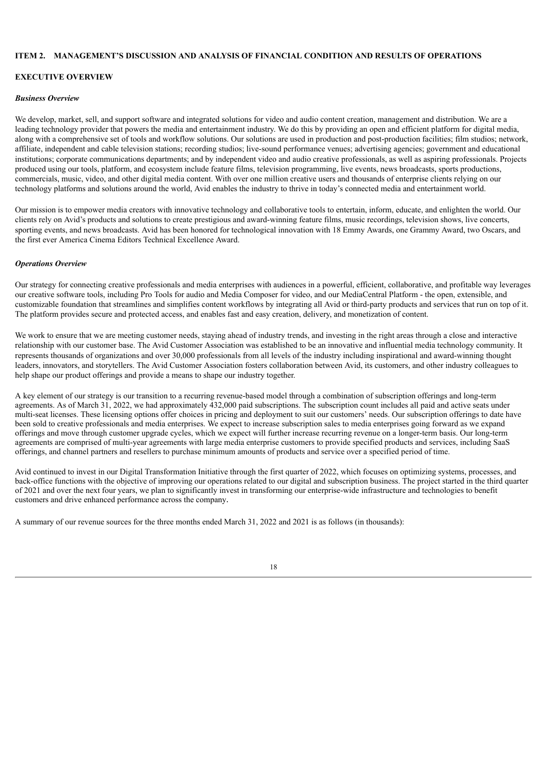## **ITEM 2. MANAGEMENT'S DISCUSSION AND ANALYSIS OF FINANCIAL CONDITION AND RESULTS OF OPERATIONS**

#### **EXECUTIVE OVERVIEW**

#### *Business Overview*

We develop, market, sell, and support software and integrated solutions for video and audio content creation, management and distribution. We are a leading technology provider that powers the media and entertainment industry. We do this by providing an open and efficient platform for digital media, along with a comprehensive set of tools and workflow solutions. Our solutions are used in production and post-production facilities; film studios; network, affiliate, independent and cable television stations; recording studios; live-sound performance venues; advertising agencies; government and educational institutions; corporate communications departments; and by independent video and audio creative professionals, as well as aspiring professionals. Projects produced using our tools, platform, and ecosystem include feature films, television programming, live events, news broadcasts, sports productions, commercials, music, video, and other digital media content. With over one million creative users and thousands of enterprise clients relying on our technology platforms and solutions around the world, Avid enables the industry to thrive in today's connected media and entertainment world.

Our mission is to empower media creators with innovative technology and collaborative tools to entertain, inform, educate, and enlighten the world. Our clients rely on Avid's products and solutions to create prestigious and award-winning feature films, music recordings, television shows, live concerts, sporting events, and news broadcasts. Avid has been honored for technological innovation with 18 Emmy Awards, one Grammy Award, two Oscars, and the first ever America Cinema Editors Technical Excellence Award.

#### *Operations Overview*

Our strategy for connecting creative professionals and media enterprises with audiences in a powerful, efficient, collaborative, and profitable way leverages our creative software tools, including Pro Tools for audio and Media Composer for video, and our MediaCentral Platform - the open, extensible, and customizable foundation that streamlines and simplifies content workflows by integrating all Avid or third-party products and services that run on top of it. The platform provides secure and protected access, and enables fast and easy creation, delivery, and monetization of content.

We work to ensure that we are meeting customer needs, staying ahead of industry trends, and investing in the right areas through a close and interactive relationship with our customer base. The Avid Customer Association was established to be an innovative and influential media technology community. It represents thousands of organizations and over 30,000 professionals from all levels of the industry including inspirational and award-winning thought leaders, innovators, and storytellers. The Avid Customer Association fosters collaboration between Avid, its customers, and other industry colleagues to help shape our product offerings and provide a means to shape our industry together.

A key element of our strategy is our transition to a recurring revenue-based model through a combination of subscription offerings and long-term agreements. As of March 31, 2022, we had approximately 432,000 paid subscriptions. The subscription count includes all paid and active seats under multi-seat licenses. These licensing options offer choices in pricing and deployment to suit our customers' needs. Our subscription offerings to date have been sold to creative professionals and media enterprises. We expect to increase subscription sales to media enterprises going forward as we expand offerings and move through customer upgrade cycles, which we expect will further increase recurring revenue on a longer-term basis. Our long-term agreements are comprised of multi-year agreements with large media enterprise customers to provide specified products and services, including SaaS offerings, and channel partners and resellers to purchase minimum amounts of products and service over a specified period of time.

Avid continued to invest in our Digital Transformation Initiative through the first quarter of 2022, which focuses on optimizing systems, processes, and back-office functions with the objective of improving our operations related to our digital and subscription business. The project started in the third quarter of 2021 and over the next four years, we plan to significantly invest in transforming our enterprise-wide infrastructure and technologies to benefit customers and drive enhanced performance across the company.

A summary of our revenue sources for the three months ended March 31, 2022 and 2021 is as follows (in thousands):

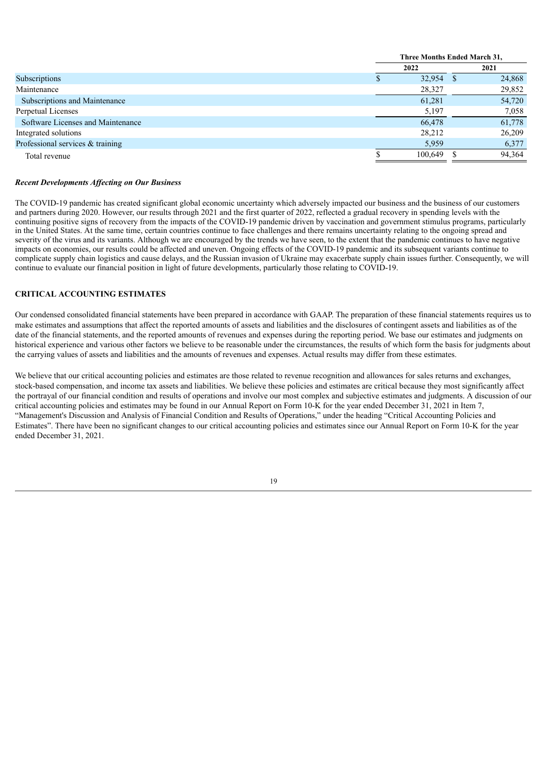|                                   |      | <b>Three Months Ended March 31,</b> |  |  |  |  |
|-----------------------------------|------|-------------------------------------|--|--|--|--|
|                                   | 2022 | 2021                                |  |  |  |  |
| <b>Subscriptions</b>              |      | 24,868<br>$32,954$ \$               |  |  |  |  |
| Maintenance                       |      | 29,852<br>28,327                    |  |  |  |  |
| Subscriptions and Maintenance     |      | 54,720<br>61,281                    |  |  |  |  |
| Perpetual Licenses                |      | 7,058<br>5,197                      |  |  |  |  |
| Software Licenses and Maintenance |      | 61,778<br>66,478                    |  |  |  |  |
| Integrated solutions              |      | 26,209<br>28,212                    |  |  |  |  |
| Professional services & training  |      | 6,377<br>5,959                      |  |  |  |  |
| Total revenue                     |      | 94,364<br>100.649                   |  |  |  |  |
|                                   |      |                                     |  |  |  |  |

#### *Recent Developments Af ecting on Our Business*

The COVID-19 pandemic has created significant global economic uncertainty which adversely impacted our business and the business of our customers and partners during 2020. However, our results through 2021 and the first quarter of 2022, reflected a gradual recovery in spending levels with the continuing positive signs of recovery from the impacts of the COVID-19 pandemic driven by vaccination and government stimulus programs, particularly in the United States. At the same time, certain countries continue to face challenges and there remains uncertainty relating to the ongoing spread and severity of the virus and its variants. Although we are encouraged by the trends we have seen, to the extent that the pandemic continues to have negative impacts on economies, our results could be affected and uneven. Ongoing effects of the COVID-19 pandemic and its subsequent variants continue to complicate supply chain logistics and cause delays, and the Russian invasion of Ukraine may exacerbate supply chain issues further. Consequently, we will continue to evaluate our financial position in light of future developments, particularly those relating to COVID-19.

#### **CRITICAL ACCOUNTING ESTIMATES**

Our condensed consolidated financial statements have been prepared in accordance with GAAP. The preparation of these financial statements requires us to make estimates and assumptions that affect the reported amounts of assets and liabilities and the disclosures of contingent assets and liabilities as of the date of the financial statements, and the reported amounts of revenues and expenses during the reporting period. We base our estimates and judgments on historical experience and various other factors we believe to be reasonable under the circumstances, the results of which form the basis for judgments about the carrying values of assets and liabilities and the amounts of revenues and expenses. Actual results may differ from these estimates.

We believe that our critical accounting policies and estimates are those related to revenue recognition and allowances for sales returns and exchanges, stock-based compensation, and income tax assets and liabilities. We believe these policies and estimates are critical because they most significantly affect the portrayal of our financial condition and results of operations and involve our most complex and subjective estimates and judgments. A discussion of our critical accounting policies and estimates may be found in our Annual Report on Form 10-K for the year ended December 31, 2021 in Item 7, "Management's Discussion and Analysis of Financial Condition and Results of Operations," under the heading "Critical Accounting Policies and Estimates". There have been no significant changes to our critical accounting policies and estimates since our Annual Report on Form 10-K for the year ended December 31, 2021.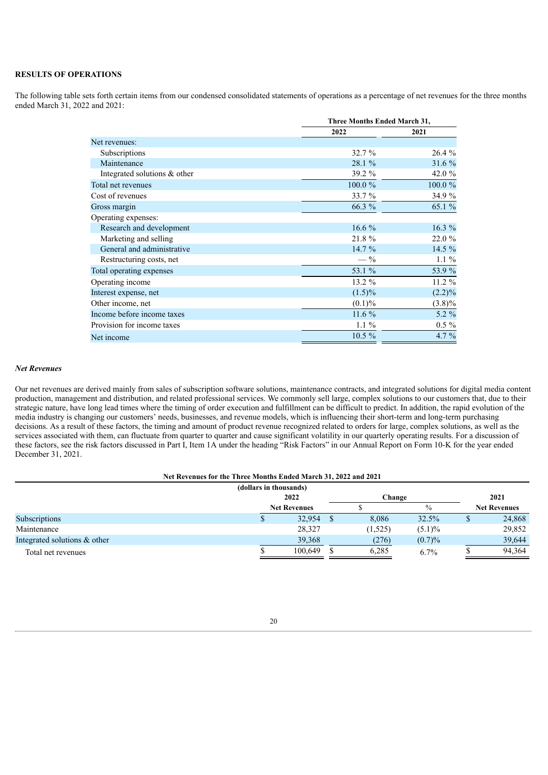### **RESULTS OF OPERATIONS**

The following table sets forth certain items from our condensed consolidated statements of operations as a percentage of net revenues for the three months ended March 31, 2022 and 2021:

|                              |                | <b>Three Months Ended March 31,</b> |  |  |  |
|------------------------------|----------------|-------------------------------------|--|--|--|
|                              | 2022           | 2021                                |  |  |  |
| Net revenues:                |                |                                     |  |  |  |
| Subscriptions                | 32.7%          | $26.4\%$                            |  |  |  |
| Maintenance                  | 28.1 %         | 31.6%                               |  |  |  |
| Integrated solutions & other | 39.2 %         | 42.0 %                              |  |  |  |
| Total net revenues           | $100.0\%$      | 100.0%                              |  |  |  |
| Cost of revenues             | 33.7 %         | 34.9 %                              |  |  |  |
| Gross margin                 | 66.3 %         | 65.1 %                              |  |  |  |
| Operating expenses:          |                |                                     |  |  |  |
| Research and development     | $16.6\%$       | $16.3\%$                            |  |  |  |
| Marketing and selling        | 21.8%          | 22.0 %                              |  |  |  |
| General and administrative   | $14.7\%$       | 14.5 $%$                            |  |  |  |
| Restructuring costs, net     | $-\frac{9}{6}$ | $1.1\%$                             |  |  |  |
| Total operating expenses     | 53.1 %         | 53.9%                               |  |  |  |
| Operating income             | $13.2\%$       | $11.2\%$                            |  |  |  |
| Interest expense, net        | $(1.5)\%$      | $(2.2)\%$                           |  |  |  |
| Other income, net            | (0.1)%         | $(3.8)\%$                           |  |  |  |
| Income before income taxes   | $11.6\%$       | 5.2 %                               |  |  |  |
| Provision for income taxes   | $1.1\%$        | $0.5 \%$                            |  |  |  |
| Net income                   | $10.5 \%$      | $4.7\%$                             |  |  |  |

#### *Net Revenues*

Our net revenues are derived mainly from sales of subscription software solutions, maintenance contracts, and integrated solutions for digital media content production, management and distribution, and related professional services. We commonly sell large, complex solutions to our customers that, due to their strategic nature, have long lead times where the timing of order execution and fulfillment can be difficult to predict. In addition, the rapid evolution of the media industry is changing our customers' needs, businesses, and revenue models, which is influencing their short-term and long-term purchasing decisions. As a result of these factors, the timing and amount of product revenue recognized related to orders for large, complex solutions, as well as the services associated with them, can fluctuate from quarter to quarter and cause significant volatility in our quarterly operating results. For a discussion of these factors, see the risk factors discussed in Part I, Item 1A under the heading "Risk Factors" in our Annual Report on Form 10-K for the year ended December 31, 2021.

| Net Revenues for the Three Months Ended March 31, 2022 and 2021 |  |                     |  |         |           |  |                     |
|-----------------------------------------------------------------|--|---------------------|--|---------|-----------|--|---------------------|
| (dollars in thousands)                                          |  |                     |  |         |           |  |                     |
|                                                                 |  | 2022                |  | Change  |           |  | 2021                |
|                                                                 |  | <b>Net Revenues</b> |  |         | $\%$      |  | <b>Net Revenues</b> |
| <b>Subscriptions</b>                                            |  | 32,954              |  | 8,086   | 32.5%     |  | 24,868              |
| Maintenance                                                     |  | 28,327              |  | (1,525) | $(5.1)\%$ |  | 29,852              |
| Integrated solutions $\&$ other                                 |  | 39.368              |  | (276)   | (0.7)%    |  | 39,644              |
| Total net revenues                                              |  | 100.649             |  | 6,285   | 6.7%      |  | 94.364              |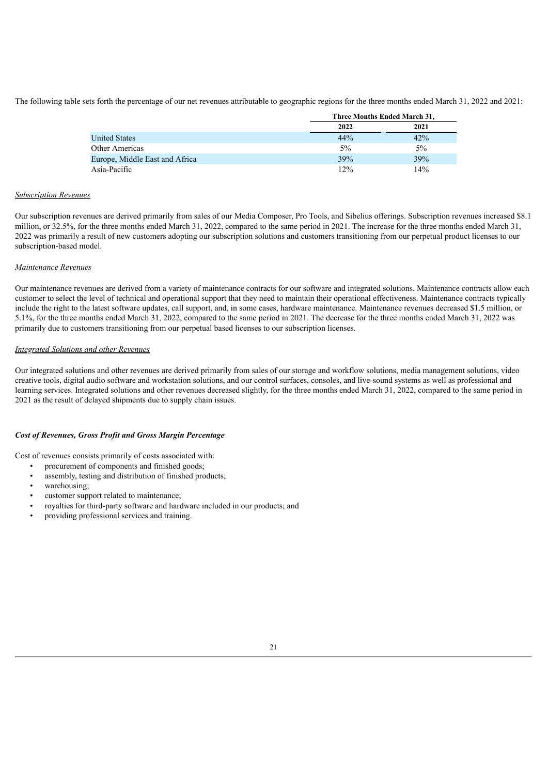The following table sets forth the percentage of our net revenues attributable to geographic regions for the three months ended March 31, 2022 and 2021:

|                                | Three Months Ended March 31, |       |
|--------------------------------|------------------------------|-------|
|                                | 2022                         | 2021  |
| <b>United States</b>           | 44%                          | 42%   |
| Other Americas                 | 5%                           | $5\%$ |
| Europe, Middle East and Africa | 39%                          | 39%   |
| Asia-Pacific                   | 12%                          | 14%   |

#### *Subscription Revenues*

Our subscription revenues are derived primarily from sales of our Media Composer, Pro Tools, and Sibelius offerings. Subscription revenues increased \$8.1 million, or 32.5%, for the three months ended March 31, 2022, compared to the same period in 2021. The increase for the three months ended March 31, 2022 was primarily a result of new customers adopting our subscription solutions and customers transitioning from our perpetual product licenses to our subscription-based model.

#### *Maintenance Revenues*

Our maintenance revenues are derived from a variety of maintenance contracts for our software and integrated solutions. Maintenance contracts allow each customer to select the level of technical and operational support that they need to maintain their operational effectiveness. Maintenance contracts typically include the right to the latest software updates, call support, and, in some cases, hardware maintenance. Maintenance revenues decreased \$1.5 million, or 5.1%, for the three months ended March 31, 2022, compared to the same period in 2021. The decrease for the three months ended March 31, 2022 was primarily due to customers transitioning from our perpetual based licenses to our subscription licenses.

### *Integrated Solutions and other Revenues*

Our integrated solutions and other revenues are derived primarily from sales of our storage and workflow solutions, media management solutions, video creative tools, digital audio software and workstation solutions, and our control surfaces, consoles, and live-sound systems as well as professional and learning services. Integrated solutions and other revenues decreased slightly, for the three months ended March 31, 2022, compared to the same period in 2021 as the result of delayed shipments due to supply chain issues.

#### *Cost of Revenues, Gross Profit and Gross Margin Percentage*

Cost of revenues consists primarily of costs associated with:

- procurement of components and finished goods;
- assembly, testing and distribution of finished products;
- warehousing;
- customer support related to maintenance;
- royalties for third-party software and hardware included in our products; and
- providing professional services and training.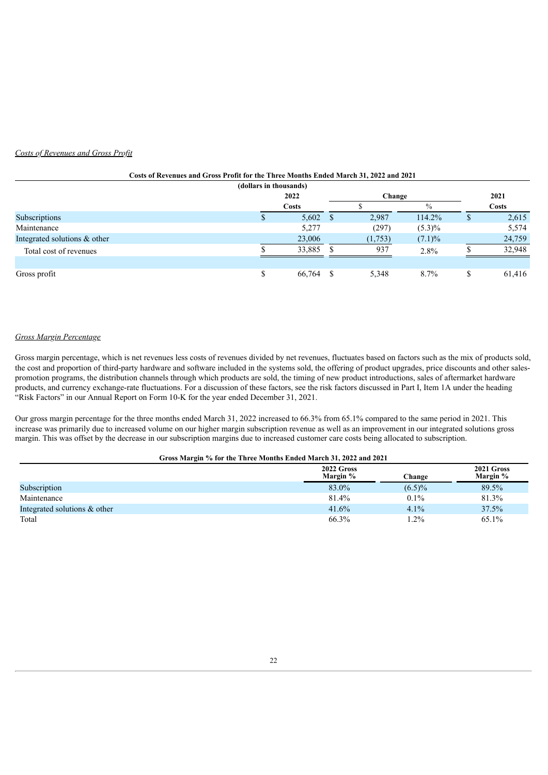### *Costs of Revenues and Gross Profit*

### **Costs of Revenues and Gross Profit for the Three Months Ended March 31, 2022 and 2021**

|                              | (dollars in thousands) |              |         |           |        |
|------------------------------|------------------------|--------------|---------|-----------|--------|
|                              |                        | 2022         | Change  |           | 2021   |
|                              |                        | <b>Costs</b> |         | $\%$      | Costs  |
| <b>Subscriptions</b>         |                        | 5,602        | 2,987   | 114.2%    | 2,615  |
| Maintenance                  |                        | 5,277        | (297)   | $(5.3)\%$ | 5,574  |
| Integrated solutions & other |                        | 23,006       | (1,753) | $(7.1)\%$ | 24,759 |
| Total cost of revenues       |                        | 33,885       | 937     | 2.8%      | 32,948 |
|                              |                        |              |         |           |        |
| Gross profit                 | \$                     | 66,764       | 5,348   | 8.7%      | 61,416 |

#### *Gross Margin Percentage*

Gross margin percentage, which is net revenues less costs of revenues divided by net revenues, fluctuates based on factors such as the mix of products sold, the cost and proportion of third-party hardware and software included in the systems sold, the offering of product upgrades, price discounts and other salespromotion programs, the distribution channels through which products are sold, the timing of new product introductions, sales of aftermarket hardware products, and currency exchange-rate fluctuations. For a discussion of these factors, see the risk factors discussed in Part I, Item 1A under the heading "Risk Factors" in our Annual Report on Form 10-K for the year ended December 31, 2021.

Our gross margin percentage for the three months ended March 31, 2022 increased to 66.3% from 65.1% compared to the same period in 2021. This increase was primarily due to increased volume on our higher margin subscription revenue as well as an improvement in our integrated solutions gross margin. This was offset by the decrease in our subscription margins due to increased customer care costs being allocated to subscription.

| Gross Margin % for the Three Months Ended March 31, 2022 and 2021 |                        |           |                        |  |  |
|-------------------------------------------------------------------|------------------------|-----------|------------------------|--|--|
|                                                                   | 2022 Gross<br>Margin % | Change    | 2021 Gross<br>Margin % |  |  |
| Subscription                                                      | 83.0%                  | $(6.5)\%$ | 89.5%                  |  |  |
| Maintenance                                                       | 81.4%                  | $0.1\%$   | 81.3%                  |  |  |
| Integrated solutions & other                                      | 41.6%                  | $4.1\%$   | 37.5%                  |  |  |
| Total                                                             | 66.3%                  | $1.2\%$   | 65.1%                  |  |  |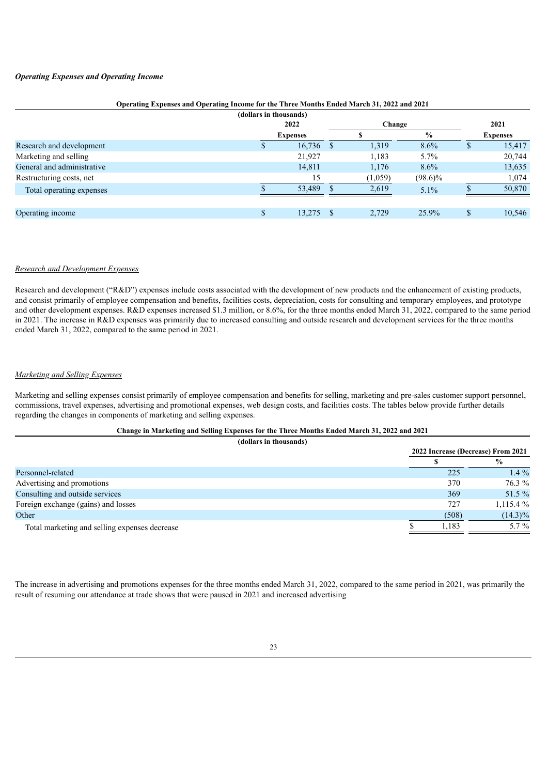#### *Operating Expenses and Operating Income*

#### **Operating Expenses and Operating Income for the Three Months Ended March 31, 2022 and 2021**

| (dollars in thousands)     |      |                 |        |         |               |    |                 |
|----------------------------|------|-----------------|--------|---------|---------------|----|-----------------|
|                            | 2022 |                 | Change |         |               |    | 2021            |
|                            |      | <b>Expenses</b> |        |         | $\frac{6}{9}$ |    | <b>Expenses</b> |
| Research and development   | D    | $16,736$ \$     |        | 1,319   | 8.6%          | \$ | 15,417          |
| Marketing and selling      |      | 21,927          |        | 1,183   | 5.7%          |    | 20,744          |
| General and administrative |      | 14,811          |        | 1,176   | $8.6\%$       |    | 13,635          |
| Restructuring costs, net   |      | 15              |        | (1,059) | $(98.6)\%$    |    | 1,074           |
| Total operating expenses   |      | 53,489          |        | 2,619   | 5.1%          |    | 50,870          |
|                            |      |                 |        |         |               |    |                 |
| Operating income           | \$   | 13,275          |        | 2,729   | 25.9%         | \$ | 10,546          |

#### *Research and Development Expenses*

Research and development ("R&D") expenses include costs associated with the development of new products and the enhancement of existing products. and consist primarily of employee compensation and benefits, facilities costs, depreciation, costs for consulting and temporary employees, and prototype and other development expenses. R&D expenses increased \$1.3 million, or 8.6%, for the three months ended March 31, 2022, compared to the same period in 2021. The increase in R&D expenses was primarily due to increased consulting and outside research and development services for the three months ended March 31, 2022, compared to the same period in 2021.

#### *Marketing and Selling Expenses*

Marketing and selling expenses consist primarily of employee compensation and benefits for selling, marketing and pre-sales customer support personnel, commissions, travel expenses, advertising and promotional expenses, web design costs, and facilities costs. The tables below provide further details regarding the changes in components of marketing and selling expenses.

#### **Change in Marketing and Selling Expenses for the Three Months Ended March 31, 2022 and 2021**

| (dollars in thousands)                        |                                    |               |  |
|-----------------------------------------------|------------------------------------|---------------|--|
|                                               | 2022 Increase (Decrease) From 2021 |               |  |
|                                               |                                    | $\frac{6}{9}$ |  |
| Personnel-related                             | 225                                | $1.4\%$       |  |
| Advertising and promotions                    | 370                                | 76.3 %        |  |
| Consulting and outside services               | 369                                | $51.5\%$      |  |
| Foreign exchange (gains) and losses           | 727                                | 1,115.4%      |  |
| Other                                         | (508)                              | $(14.3)\%$    |  |
| Total marketing and selling expenses decrease | 1,183                              | $5.7\%$       |  |

The increase in advertising and promotions expenses for the three months ended March 31, 2022, compared to the same period in 2021, was primarily the result of resuming our attendance at trade shows that were paused in 2021 and increased advertising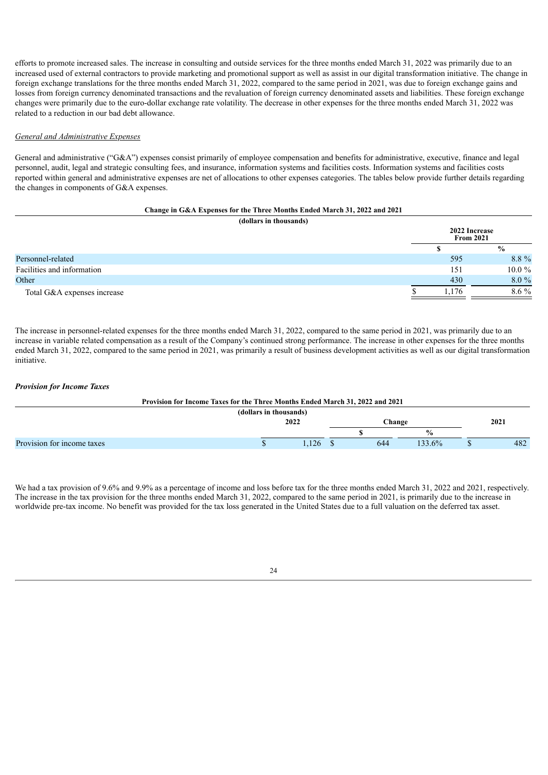efforts to promote increased sales. The increase in consulting and outside services for the three months ended March 31, 2022 was primarily due to an increased used of external contractors to provide marketing and promotional support as well as assist in our digital transformation initiative. The change in foreign exchange translations for the three months ended March 31, 2022, compared to the same period in 2021, was due to foreign exchange gains and losses from foreign currency denominated transactions and the revaluation of foreign currency denominated assets and liabilities. These foreign exchange changes were primarily due to the euro-dollar exchange rate volatility. The decrease in other expenses for the three months ended March 31, 2022 was related to a reduction in our bad debt allowance.

#### *General and Administrative Expenses*

General and administrative ("G&A") expenses consist primarily of employee compensation and benefits for administrative, executive, finance and legal personnel, audit, legal and strategic consulting fees, and insurance, information systems and facilities costs. Information systems and facilities costs reported within general and administrative expenses are net of allocations to other expenses categories. The tables below provide further details regarding the changes in components of G&A expenses.

#### **Change in G&A Expenses for the Three Months Ended March 31, 2022 and 2021**

| (dollars in thousands)      |                                   |               |  |
|-----------------------------|-----------------------------------|---------------|--|
|                             | 2022 Increase<br><b>From 2021</b> |               |  |
|                             |                                   | $\frac{6}{9}$ |  |
| Personnel-related           | 595                               | 8.8 %         |  |
| Facilities and information  | 151                               | $10.0 \%$     |  |
| Other                       | 430                               | $8.0\%$       |  |
| Total G&A expenses increase | 1,176                             | $8.6\%$       |  |

The increase in personnel-related expenses for the three months ended March 31, 2022, compared to the same period in 2021, was primarily due to an increase in variable related compensation as a result of the Company's continued strong performance. The increase in other expenses for the three months ended March 31, 2022, compared to the same period in 2021, was primarily a result of business development activities as well as our digital transformation initiative.

#### *Provision for Income Taxes*

| Provision for Income Taxes for the Three Months Ended March 31, 2022 and 2021 |      |              |        |     |               |  |      |
|-------------------------------------------------------------------------------|------|--------------|--------|-----|---------------|--|------|
| (dollars in thousands)                                                        |      |              |        |     |               |  |      |
|                                                                               | 2022 |              | Change |     |               |  | 2021 |
|                                                                               |      |              |        |     | $\frac{6}{9}$ |  |      |
| Provision for income taxes                                                    |      | $\sqrt{126}$ |        | 644 | 133.6%        |  | 482  |

We had a tax provision of 9.6% and 9.9% as a percentage of income and loss before tax for the three months ended March 31, 2022 and 2021, respectively. The increase in the tax provision for the three months ended March 31, 2022, compared to the same period in 2021, is primarily due to the increase in worldwide pre-tax income. No benefit was provided for the tax loss generated in the United States due to a full valuation on the deferred tax asset.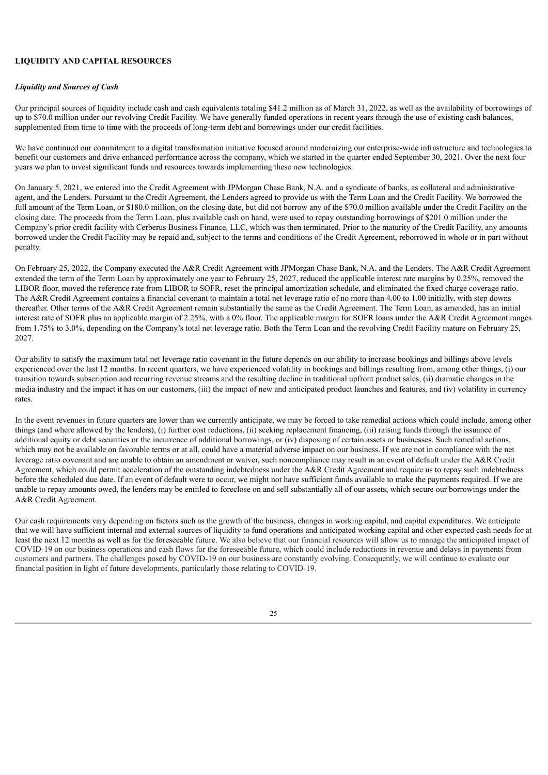## **LIQUIDITY AND CAPITAL RESOURCES**

#### *Liquidity and Sources of Cash*

Our principal sources of liquidity include cash and cash equivalents totaling \$41.2 million as of March 31, 2022, as well as the availability of borrowings of up to \$70.0 million under our revolving Credit Facility. We have generally funded operations in recent years through the use of existing cash balances, supplemented from time to time with the proceeds of long-term debt and borrowings under our credit facilities.

We have continued our commitment to a digital transformation initiative focused around modernizing our enterprise-wide infrastructure and technologies to benefit our customers and drive enhanced performance across the company, which we started in the quarter ended September 30, 2021. Over the next four years we plan to invest significant funds and resources towards implementing these new technologies.

On January 5, 2021, we entered into the Credit Agreement with JPMorgan Chase Bank, N.A. and a syndicate of banks, as collateral and administrative agent, and the Lenders. Pursuant to the Credit Agreement, the Lenders agreed to provide us with the Term Loan and the Credit Facility. We borrowed the full amount of the Term Loan, or \$180.0 million, on the closing date, but did not borrow any of the \$70.0 million available under the Credit Facility on the closing date. The proceeds from the Term Loan, plus available cash on hand, were used to repay outstanding borrowings of \$201.0 million under the Company's prior credit facility with Cerberus Business Finance, LLC, which was then terminated. Prior to the maturity of the Credit Facility, any amounts borrowed under the Credit Facility may be repaid and, subject to the terms and conditions of the Credit Agreement, reborrowed in whole or in part without penalty.

On February 25, 2022, the Company executed the A&R Credit Agreement with JPMorgan Chase Bank, N.A. and the Lenders. The A&R Credit Agreement extended the term of the Term Loan by approximately one year to February 25, 2027, reduced the applicable interest rate margins by 0.25%, removed the LIBOR floor, moved the reference rate from LIBOR to SOFR, reset the principal amortization schedule, and eliminated the fixed charge coverage ratio. The A&R Credit Agreement contains a financial covenant to maintain a total net leverage ratio of no more than 4.00 to 1.00 initially, with step downs thereafter. Other terms of the A&R Credit Agreement remain substantially the same as the Credit Agreement. The Term Loan, as amended, has an initial interest rate of SOFR plus an applicable margin of 2.25%, with a 0% floor. The applicable margin for SOFR loans under the A&R Credit Agreement ranges from 1.75% to 3.0%, depending on the Company's total net leverage ratio. Both the Term Loan and the revolving Credit Facility mature on February 25, 2027.

Our ability to satisfy the maximum total net leverage ratio covenant in the future depends on our ability to increase bookings and billings above levels experienced over the last 12 months. In recent quarters, we have experienced volatility in bookings and billings resulting from, among other things, (i) our transition towards subscription and recurring revenue streams and the resulting decline in traditional upfront product sales, (ii) dramatic changes in the media industry and the impact it has on our customers, (iii) the impact of new and anticipated product launches and features, and (iv) volatility in currency rates.

In the event revenues in future quarters are lower than we currently anticipate, we may be forced to take remedial actions which could include, among other things (and where allowed by the lenders), (i) further cost reductions, (ii) seeking replacement financing, (iii) raising funds through the issuance of additional equity or debt securities or the incurrence of additional borrowings, or (iv) disposing of certain assets or businesses. Such remedial actions, which may not be available on favorable terms or at all, could have a material adverse impact on our business. If we are not in compliance with the net leverage ratio covenant and are unable to obtain an amendment or waiver, such noncompliance may result in an event of default under the A&R Credit Agreement, which could permit acceleration of the outstanding indebtedness under the A&R Credit Agreement and require us to repay such indebtedness before the scheduled due date. If an event of default were to occur, we might not have sufficient funds available to make the payments required. If we are unable to repay amounts owed, the lenders may be entitled to foreclose on and sell substantially all of our assets, which secure our borrowings under the A&R Credit Agreement.

Our cash requirements vary depending on factors such as the growth of the business, changes in working capital, and capital expenditures. We anticipate that we will have sufficient internal and external sources of liquidity to fund operations and anticipated working capital and other expected cash needs for at least the next 12 months as well as for the foreseeable future. We also believe that our financial resources will allow us to manage the anticipated impact of COVID-19 on our business operations and cash flows for the foreseeable future, which could include reductions in revenue and delays in payments from customers and partners. The challenges posed by COVID-19 on our business are constantly evolving. Consequently, we will continue to evaluate our financial position in light of future developments, particularly those relating to COVID-19.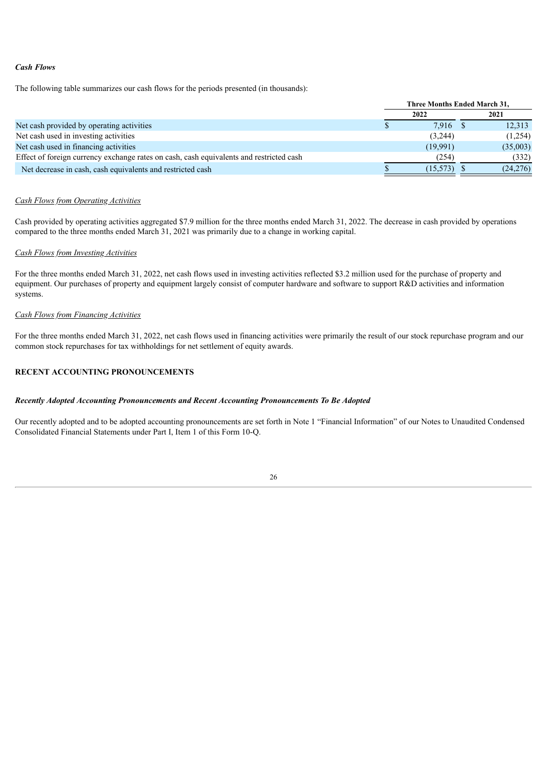#### *Cash Flows*

The following table summarizes our cash flows for the periods presented (in thousands):

|                                                                                         | Three Months Ended March 31, |          |  |          |
|-----------------------------------------------------------------------------------------|------------------------------|----------|--|----------|
|                                                                                         |                              | 2022     |  | 2021     |
| Net cash provided by operating activities                                               |                              | 7.916 \$ |  | 12,313   |
| Net cash used in investing activities                                                   |                              | (3,244)  |  | (1,254)  |
| Net cash used in financing activities                                                   |                              | (19.991) |  | (35,003) |
| Effect of foreign currency exchange rates on cash, cash equivalents and restricted cash |                              | (254)    |  | (332)    |
| Net decrease in cash, cash equivalents and restricted cash                              |                              | (15,573) |  | (24,276) |

#### *Cash Flows from Operating Activities*

Cash provided by operating activities aggregated \$7.9 million for the three months ended March 31, 2022. The decrease in cash provided by operations compared to the three months ended March 31, 2021 was primarily due to a change in working capital.

#### *Cash Flows from Investing Activities*

For the three months ended March 31, 2022, net cash flows used in investing activities reflected \$3.2 million used for the purchase of property and equipment. Our purchases of property and equipment largely consist of computer hardware and software to support R&D activities and information systems.

#### *Cash Flows from Financing Activities*

For the three months ended March 31, 2022, net cash flows used in financing activities were primarily the result of our stock repurchase program and our common stock repurchases for tax withholdings for net settlement of equity awards.

### **RECENT ACCOUNTING PRONOUNCEMENTS**

#### *Recently Adopted Accounting Pronouncements and Recent Accounting Pronouncements To Be Adopted*

<span id="page-29-0"></span>Our recently adopted and to be adopted accounting pronouncements are set forth in Note 1 "Financial Information" of our Notes to Unaudited Condensed Consolidated Financial Statements under Part I, Item 1 of this Form 10-Q.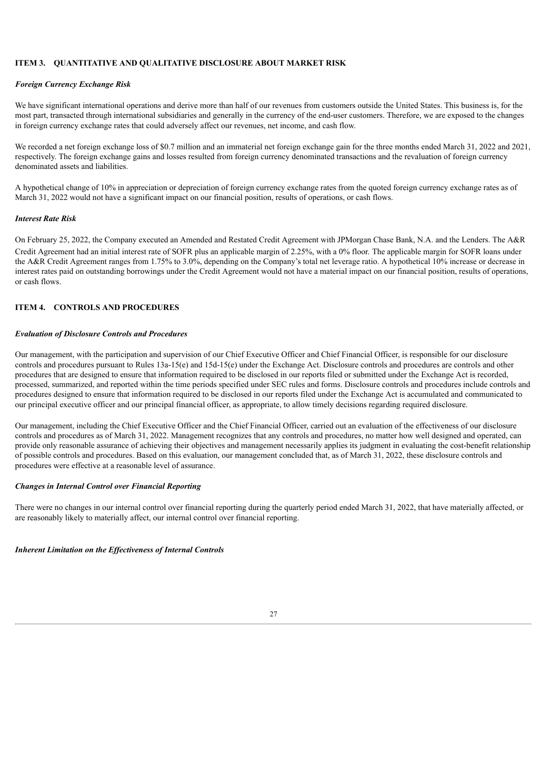#### **ITEM 3. QUANTITATIVE AND QUALITATIVE DISCLOSURE ABOUT MARKET RISK**

#### *Foreign Currency Exchange Risk*

We have significant international operations and derive more than half of our revenues from customers outside the United States. This business is, for the most part, transacted through international subsidiaries and generally in the currency of the end-user customers. Therefore, we are exposed to the changes in foreign currency exchange rates that could adversely affect our revenues, net income, and cash flow.

We recorded a net foreign exchange loss of \$0.7 million and an immaterial net foreign exchange gain for the three months ended March 31, 2022 and 2021, respectively. The foreign exchange gains and losses resulted from foreign currency denominated transactions and the revaluation of foreign currency denominated assets and liabilities.

A hypothetical change of 10% in appreciation or depreciation of foreign currency exchange rates from the quoted foreign currency exchange rates as of March 31, 2022 would not have a significant impact on our financial position, results of operations, or cash flows.

#### *Interest Rate Risk*

On February 25, 2022, the Company executed an Amended and Restated Credit Agreement with JPMorgan Chase Bank, N.A. and the Lenders. The A&R Credit Agreement had an initial interest rate of SOFR plus an applicable margin of 2.25%, with a 0% floor. The applicable margin for SOFR loans under the A&R Credit Agreement ranges from 1.75% to 3.0%, depending on the Company's total net leverage ratio. A hypothetical 10% increase or decrease in interest rates paid on outstanding borrowings under the Credit Agreement would not have a material impact on our financial position, results of operations, or cash flows.

## <span id="page-30-0"></span>**ITEM 4. CONTROLS AND PROCEDURES**

#### *Evaluation of Disclosure Controls and Procedures*

Our management, with the participation and supervision of our Chief Executive Officer and Chief Financial Officer, is responsible for our disclosure controls and procedures pursuant to Rules 13a-15(e) and 15d-15(e) under the Exchange Act. Disclosure controls and procedures are controls and other procedures that are designed to ensure that information required to be disclosed in our reports filed or submitted under the Exchange Act is recorded, processed, summarized, and reported within the time periods specified under SEC rules and forms. Disclosure controls and procedures include controls and procedures designed to ensure that information required to be disclosed in our reports filed under the Exchange Act is accumulated and communicated to our principal executive officer and our principal financial officer, as appropriate, to allow timely decisions regarding required disclosure.

Our management, including the Chief Executive Officer and the Chief Financial Officer, carried out an evaluation of the effectiveness of our disclosure controls and procedures as of March 31, 2022. Management recognizes that any controls and procedures, no matter how well designed and operated, can provide only reasonable assurance of achieving their objectives and management necessarily applies its judgment in evaluating the cost-benefit relationship of possible controls and procedures. Based on this evaluation, our management concluded that, as of March 31, 2022, these disclosure controls and procedures were effective at a reasonable level of assurance.

#### *Changes in Internal Control over Financial Reporting*

There were no changes in our internal control over financial reporting during the quarterly period ended March 31, 2022, that have materially affected, or are reasonably likely to materially affect, our internal control over financial reporting.

#### *Inherent Limitation on the Ef ectiveness of Internal Controls*

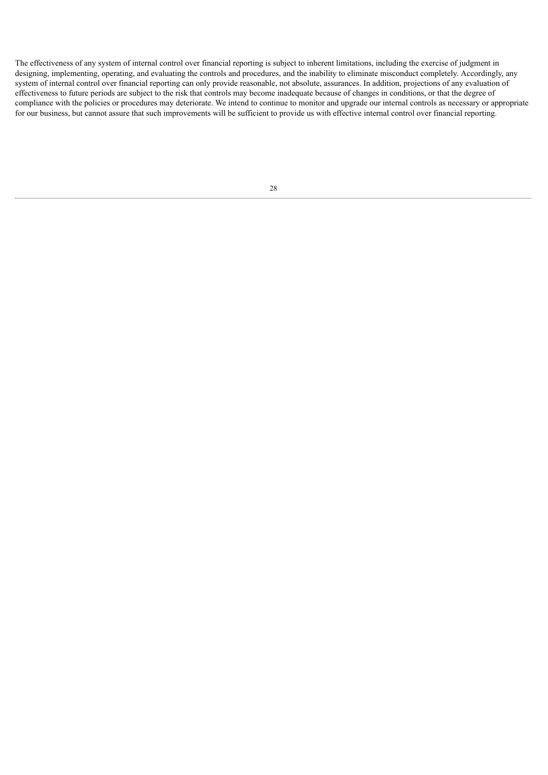<span id="page-31-0"></span>The effectiveness of any system of internal control over financial reporting is subject to inherent limitations, including the exercise of judgment in designing, implementing, operating, and evaluating the controls and procedures, and the inability to eliminate misconduct completely. Accordingly, any system of internal control over financial reporting can only provide reasonable, not absolute, assurances. In addition, projections of any evaluation of effectiveness to future periods are subject to the risk that controls may become inadequate because of changes in conditions, or that the degree of compliance with the policies or procedures may deteriorate. We intend to continue to monitor and upgrade our internal controls as necessary or appropriate for our business, but cannot assure that such improvements will be sufficient to provide us with effective internal control over financial reporting.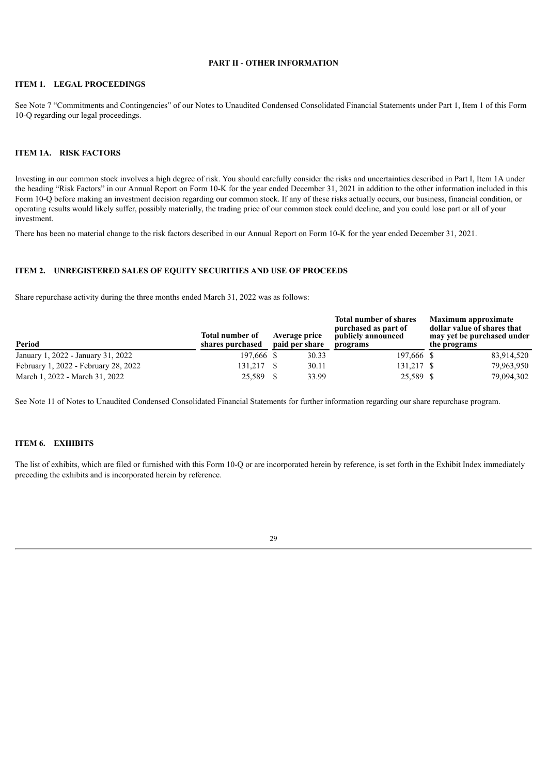### **PART II - OTHER INFORMATION**

### <span id="page-32-0"></span>**ITEM 1. LEGAL PROCEEDINGS**

See Note 7 "Commitments and Contingencies" of our Notes to Unaudited Condensed Consolidated Financial Statements under Part 1, Item 1 of this Form 10-Q regarding our legal proceedings.

#### <span id="page-32-1"></span>**ITEM 1A. RISK FACTORS**

Investing in our common stock involves a high degree of risk. You should carefully consider the risks and uncertainties described in Part I, Item 1A under the heading "Risk Factors" in our Annual Report on Form 10-K for the year ended December 31, 2021 in addition to the other information included in this Form 10-Q before making an investment decision regarding our common stock. If any of these risks actually occurs, our business, financial condition, or operating results would likely suffer, possibly materially, the trading price of our common stock could decline, and you could lose part or all of your investment.

There has been no material change to the risk factors described in our Annual Report on Form 10-K for the year ended December 31, 2021.

## <span id="page-32-2"></span>**ITEM 2. UNREGISTERED SALES OF EQUITY SECURITIES AND USE OF PROCEEDS**

Share repurchase activity during the three months ended March 31, 2022 was as follows:

| Period                               | Total number of<br>Average price<br>publicly announced<br>paid per share<br>shares purchased<br>programs |  | <b>Total number of shares</b><br>purchased as part of | <b>Maximum approximate</b><br>dollar value of shares that<br>may yet be purchased under<br>the programs |            |
|--------------------------------------|----------------------------------------------------------------------------------------------------------|--|-------------------------------------------------------|---------------------------------------------------------------------------------------------------------|------------|
| January 1, 2022 - January 31, 2022   | 197.666 \$                                                                                               |  | 30.33                                                 | 197,666 \$                                                                                              | 83,914,520 |
| February 1, 2022 - February 28, 2022 | 131.217 \$                                                                                               |  | 30.11                                                 | 131,217 \$                                                                                              | 79,963,950 |
| March 1, 2022 - March 31, 2022       | 25,589 \$                                                                                                |  | 33.99                                                 | 25,589 \$                                                                                               | 79,094,302 |

<span id="page-32-3"></span>See Note 11 of Notes to Unaudited Condensed Consolidated Financial Statements for further information regarding our share repurchase program.

## **ITEM 6. EXHIBITS**

<span id="page-32-4"></span>The list of exhibits, which are filed or furnished with this Form 10-Q or are incorporated herein by reference, is set forth in the Exhibit Index immediately preceding the exhibits and is incorporated herein by reference.

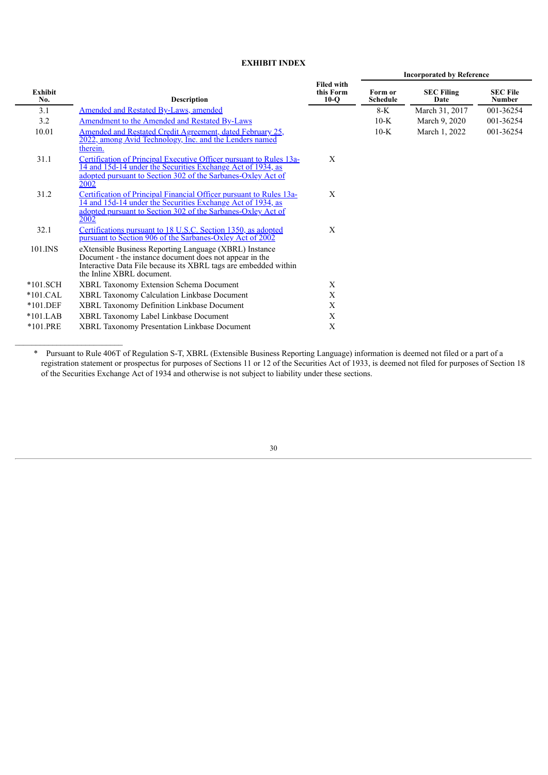## **EXHIBIT INDEX**

|                       |                                                                                                                                                                                                                   |                                          |                            | <b>Incorporated by Reference</b> |                                  |  |
|-----------------------|-------------------------------------------------------------------------------------------------------------------------------------------------------------------------------------------------------------------|------------------------------------------|----------------------------|----------------------------------|----------------------------------|--|
| <b>Exhibit</b><br>No. | <b>Description</b>                                                                                                                                                                                                | <b>Filed with</b><br>this Form<br>$10-Q$ | Form or<br><b>Schedule</b> | <b>SEC Filing</b><br>Date        | <b>SEC File</b><br><b>Number</b> |  |
| 3.1                   | <b>Amended and Restated By-Laws, amended</b>                                                                                                                                                                      |                                          | 8-K                        | March 31, 2017                   | 001-36254                        |  |
| 3.2                   | <b>Amendment to the Amended and Restated By-Laws</b>                                                                                                                                                              |                                          | $10-K$                     | March 9, 2020                    | 001-36254                        |  |
| 10.01                 | <b>Amended and Restated Credit Agreement, dated February 25,</b><br>2022, among Avid Technology, Inc. and the Lenders named<br>therein.                                                                           |                                          | $10-K$                     | March 1, 2022                    | 001-36254                        |  |
| 31.1                  | Certification of Principal Executive Officer pursuant to Rules 13a-<br>14 and 15d-14 under the Securities Exchange Act of 1934, as<br>adopted pursuant to Section 302 of the Sarbanes-Oxley Act of<br>2002        | X                                        |                            |                                  |                                  |  |
| 31.2                  | Certification of Principal Financial Officer pursuant to Rules 13a-<br>14 and 15d-14 under the Securities Exchange Act of 1934, as<br>adopted pursuant to Section 302 of the Sarbanes-Oxley Act of<br>2002        | X                                        |                            |                                  |                                  |  |
| 32.1                  | Certifications pursuant to 18 U.S.C. Section 1350, as adopted<br>pursuant to Section 906 of the Sarbanes-Oxley Act of 2002                                                                                        | X                                        |                            |                                  |                                  |  |
| 101.INS               | eXtensible Business Reporting Language (XBRL) Instance<br>Document - the instance document does not appear in the<br>Interactive Data File because its XBRL tags are embedded within<br>the Inline XBRL document. |                                          |                            |                                  |                                  |  |
| $*101$ .SCH           | <b>XBRL Taxonomy Extension Schema Document</b>                                                                                                                                                                    | X                                        |                            |                                  |                                  |  |
| $*101.CAL$            | <b>XBRL Taxonomy Calculation Linkbase Document</b>                                                                                                                                                                | X                                        |                            |                                  |                                  |  |
| $*101$ DEF            | <b>XBRL Taxonomy Definition Linkbase Document</b>                                                                                                                                                                 | X                                        |                            |                                  |                                  |  |
| $*101.LAB$            | XBRL Taxonomy Label Linkbase Document                                                                                                                                                                             | X                                        |                            |                                  |                                  |  |
| $*101.PRE$            | <b>XBRL Taxonomy Presentation Linkbase Document</b>                                                                                                                                                               | X                                        |                            |                                  |                                  |  |

<span id="page-33-0"></span>\* Pursuant to Rule 406T of Regulation S-T, XBRL (Extensible Business Reporting Language) information is deemed not filed or a part of a registration statement or prospectus for purposes of Sections 11 or 12 of the Securities Act of 1933, is deemed not filed for purposes of Section 18 of the Securities Exchange Act of 1934 and otherwise is not subject to liability under these sections.

\_\_\_\_\_\_\_\_\_\_\_\_\_\_\_\_\_\_\_\_\_\_\_\_\_\_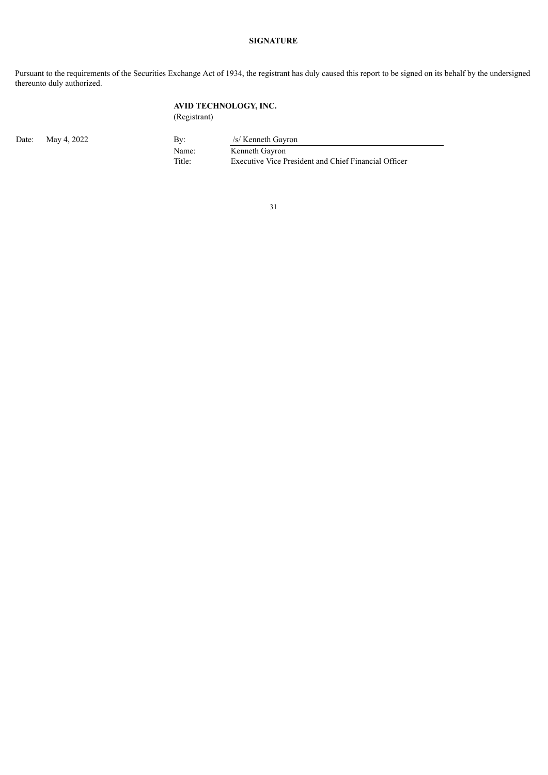## **SIGNATURE**

Pursuant to the requirements of the Securities Exchange Act of 1934, the registrant has duly caused this report to be signed on its behalf by the undersigned thereunto duly authorized.

## **AVID TECHNOLOGY, INC.** (Registrant)

Date: May 4, 2022 By: /s/ Kenneth Gayron Name: Kenneth Gayron<br>Title: Executive Vice P Executive Vice President and Chief Financial Officer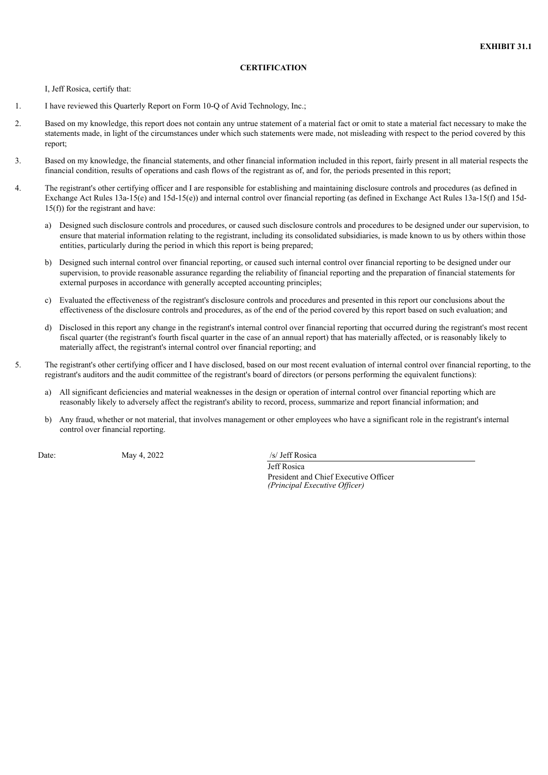## **CERTIFICATION**

<span id="page-35-0"></span>I, Jeff Rosica, certify that:

- 1. I have reviewed this Quarterly Report on Form 10-Q of Avid Technology, Inc.;
- 2. Based on my knowledge, this report does not contain any untrue statement of a material fact or omit to state a material fact necessary to make the statements made, in light of the circumstances under which such statements were made, not misleading with respect to the period covered by this report;
- 3. Based on my knowledge, the financial statements, and other financial information included in this report, fairly present in all material respects the financial condition, results of operations and cash flows of the registrant as of, and for, the periods presented in this report;
- 4. The registrant's other certifying officer and I are responsible for establishing and maintaining disclosure controls and procedures (as defined in Exchange Act Rules 13a-15(e) and 15d-15(e)) and internal control over financial reporting (as defined in Exchange Act Rules 13a-15(f) and 15d-15(f)) for the registrant and have:
	- a) Designed such disclosure controls and procedures, or caused such disclosure controls and procedures to be designed under our supervision, to ensure that material information relating to the registrant, including its consolidated subsidiaries, is made known to us by others within those entities, particularly during the period in which this report is being prepared;
	- b) Designed such internal control over financial reporting, or caused such internal control over financial reporting to be designed under our supervision, to provide reasonable assurance regarding the reliability of financial reporting and the preparation of financial statements for external purposes in accordance with generally accepted accounting principles;
	- c) Evaluated the effectiveness of the registrant's disclosure controls and procedures and presented in this report our conclusions about the effectiveness of the disclosure controls and procedures, as of the end of the period covered by this report based on such evaluation; and
	- d) Disclosed in this report any change in the registrant's internal control over financial reporting that occurred during the registrant's most recent fiscal quarter (the registrant's fourth fiscal quarter in the case of an annual report) that has materially affected, or is reasonably likely to materially affect, the registrant's internal control over financial reporting; and
- 5. The registrant's other certifying officer and I have disclosed, based on our most recent evaluation of internal control over financial reporting, to the registrant's auditors and the audit committee of the registrant's board of directors (or persons performing the equivalent functions):
	- a) All significant deficiencies and material weaknesses in the design or operation of internal control over financial reporting which are reasonably likely to adversely affect the registrant's ability to record, process, summarize and report financial information; and
	- b) Any fraud, whether or not material, that involves management or other employees who have a significant role in the registrant's internal control over financial reporting.

Date: May 4, 2022 /s/ Jeff Rosica

Jeff Rosica President and Chief Executive Officer *(Principal Executive Of icer)*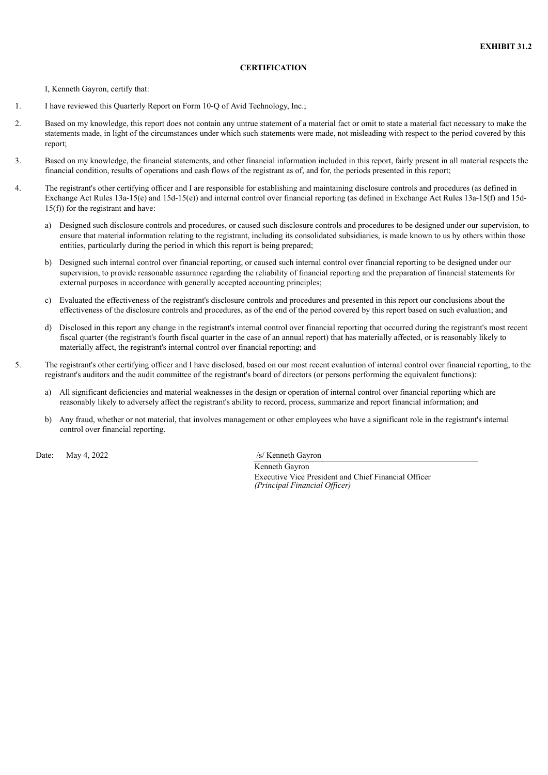## **CERTIFICATION**

<span id="page-36-0"></span>I, Kenneth Gayron, certify that:

- 1. I have reviewed this Quarterly Report on Form 10-Q of Avid Technology, Inc.;
- 2. Based on my knowledge, this report does not contain any untrue statement of a material fact or omit to state a material fact necessary to make the statements made, in light of the circumstances under which such statements were made, not misleading with respect to the period covered by this report;
- 3. Based on my knowledge, the financial statements, and other financial information included in this report, fairly present in all material respects the financial condition, results of operations and cash flows of the registrant as of, and for, the periods presented in this report;
- 4. The registrant's other certifying officer and I are responsible for establishing and maintaining disclosure controls and procedures (as defined in Exchange Act Rules 13a-15(e) and 15d-15(e)) and internal control over financial reporting (as defined in Exchange Act Rules 13a-15(f) and 15d-15(f)) for the registrant and have:
	- a) Designed such disclosure controls and procedures, or caused such disclosure controls and procedures to be designed under our supervision, to ensure that material information relating to the registrant, including its consolidated subsidiaries, is made known to us by others within those entities, particularly during the period in which this report is being prepared;
	- b) Designed such internal control over financial reporting, or caused such internal control over financial reporting to be designed under our supervision, to provide reasonable assurance regarding the reliability of financial reporting and the preparation of financial statements for external purposes in accordance with generally accepted accounting principles;
	- c) Evaluated the effectiveness of the registrant's disclosure controls and procedures and presented in this report our conclusions about the effectiveness of the disclosure controls and procedures, as of the end of the period covered by this report based on such evaluation; and
	- d) Disclosed in this report any change in the registrant's internal control over financial reporting that occurred during the registrant's most recent fiscal quarter (the registrant's fourth fiscal quarter in the case of an annual report) that has materially affected, or is reasonably likely to materially affect, the registrant's internal control over financial reporting; and
- 5. The registrant's other certifying officer and I have disclosed, based on our most recent evaluation of internal control over financial reporting, to the registrant's auditors and the audit committee of the registrant's board of directors (or persons performing the equivalent functions):
	- a) All significant deficiencies and material weaknesses in the design or operation of internal control over financial reporting which are reasonably likely to adversely affect the registrant's ability to record, process, summarize and report financial information; and
	- b) Any fraud, whether or not material, that involves management or other employees who have a significant role in the registrant's internal control over financial reporting.

Date: May 4, 2022 /s/ Kenneth Gayron

Kenneth Gayron Executive Vice President and Chief Financial Officer *(Principal Financial Of icer)*